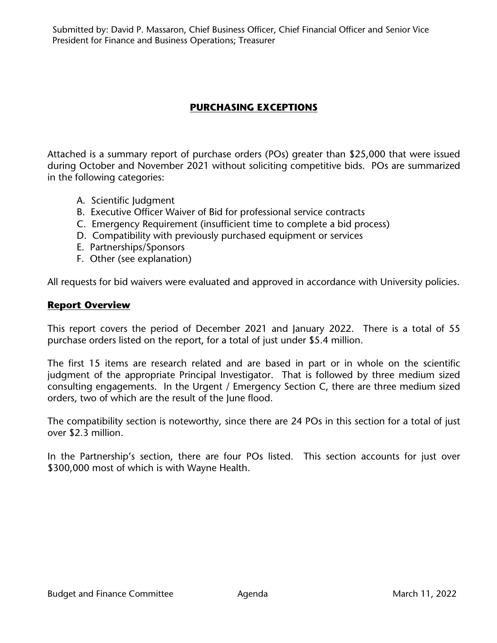Submitted by: David P. Massaron, Chief Business Officer, Chief Financial Officer and Senior Vice President for Finance and Business Operations; Treasurer

# **PURCHASING EXCEPTIONS**

Attached is a summary report of purchase orders (POs) greater than \$25,000 that were issued during October and November 2021 without soliciting competitive bids. POs are summarized in the following categories:

- A. Scientific Judgment
- B. Executive Officer Waiver of Bid for professional service contracts
- C. Emergency Requirement (insufficient time to complete a bid process)
- D. Compatibility with previously purchased equipment or services
- E. Partnerships/Sponsors
- F. Other (see explanation)

All requests for bid waivers were evaluated and approved in accordance with University policies.

#### **Report Overview**

This report covers the period of December 2021 and January 2022. There is a total of 55 purchase orders listed on the report, for a total of just under \$5.4 million.

The first 15 items are research related and are based in part or in whole on the scientific judgment of the appropriate Principal Investigator. That is followed by three medium sized consulting engagements. In the Urgent / Emergency Section C, there are three medium sized orders, two of which are the result of the June flood.

The compatibility section is noteworthy, since there are 24 POs in this section for a total of just over \$2.3 million.

In the Partnership's section, there are four POs listed. This section accounts for just over \$300,000 most of which is with Wayne Health.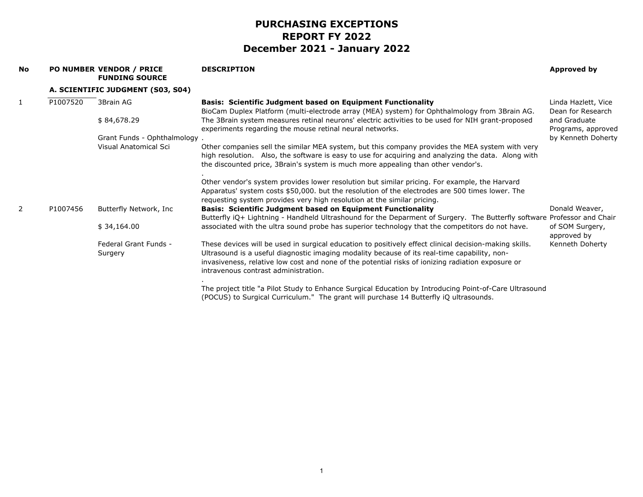| <b>No</b> |          | PO NUMBER VENDOR / PRICE<br><b>FUNDING SOURCE</b> | <b>DESCRIPTION</b>                                                                                                                                                                                                                                                                                                                                  | <b>Approved by</b>                       |
|-----------|----------|---------------------------------------------------|-----------------------------------------------------------------------------------------------------------------------------------------------------------------------------------------------------------------------------------------------------------------------------------------------------------------------------------------------------|------------------------------------------|
|           |          | A. SCIENTIFIC JUDGMENT (S03, S04)                 |                                                                                                                                                                                                                                                                                                                                                     |                                          |
| 1         | P1007520 | 3Brain AG                                         | <b>Basis: Scientific Judgment based on Equipment Functionality</b><br>BioCam Duplex Platform (multi-electrode array (MEA) system) for Ophthalmology from 3Brain AG.                                                                                                                                                                                 | Linda Hazlett, Vice<br>Dean for Research |
|           |          | \$84,678.29                                       | The 3Brain system measures retinal neurons' electric activities to be used for NIH grant-proposed<br>experiments regarding the mouse retinal neural networks.                                                                                                                                                                                       | and Graduate<br>Programs, approved       |
|           |          | Grant Funds - Ophthalmology.                      |                                                                                                                                                                                                                                                                                                                                                     | by Kenneth Doherty                       |
|           |          | Visual Anatomical Sci                             | Other companies sell the similar MEA system, but this company provides the MEA system with very<br>high resolution. Also, the software is easy to use for acquiring and analyzing the data. Along with<br>the discounted price, 3Brain's system is much more appealing than other vendor's.                                                         |                                          |
|           |          |                                                   | Other vendor's system provides lower resolution but similar pricing. For example, the Harvard<br>Apparatus' system costs \$50,000. but the resolution of the electrodes are 500 times lower. The<br>requesting system provides very high resolution at the similar pricing.                                                                         |                                          |
| 2         | P1007456 | Butterfly Network, Inc                            | <b>Basis: Scientific Judgment based on Equipment Functionality</b><br>Butterfly iQ+ Lightning - Handheld Ultrashound for the Deparment of Surgery. The Butterfly software Professor and Chair                                                                                                                                                       | Donald Weaver,                           |
|           |          | \$34,164.00                                       | associated with the ultra sound probe has superior technology that the competitors do not have.                                                                                                                                                                                                                                                     | of SOM Surgery,<br>approved by           |
|           |          | Federal Grant Funds -<br>Surgery                  | These devices will be used in surgical education to positively effect clinical decision-making skills.<br>Ultrasound is a useful diagnostic imaging modality because of its real-time capability, non-<br>invasiveness, relative low cost and none of the potential risks of ionizing radiation exposure or<br>intravenous contrast administration. | Kenneth Doherty                          |
|           |          |                                                   | The project title "a Pilot Study to Enhance Surgical Education by Introducing Point-of-Care Ultrasound<br>(POCUS) to Surgical Curriculum." The grant will purchase 14 Butterfly iQ ultrasounds.                                                                                                                                                     |                                          |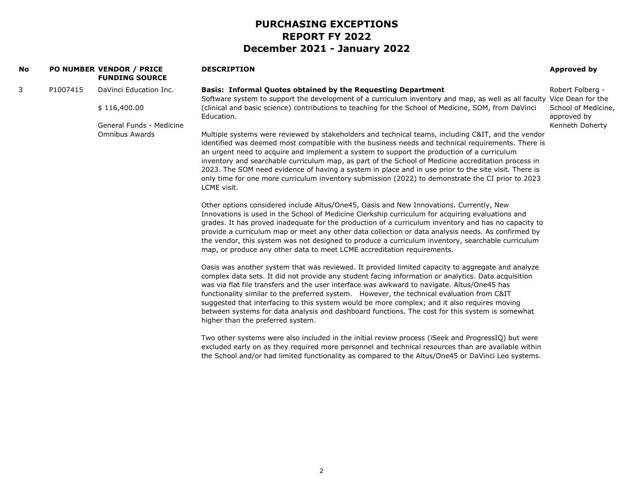| <b>No</b> |          | PO NUMBER VENDOR / PRICE<br><b>FUNDING SOURCE</b> | <b>DESCRIPTION</b>                                                                                                                                                                                                                                                                                                                                                                                                                                                                                                                                                                                                                            | <b>Approved by</b>                 |
|-----------|----------|---------------------------------------------------|-----------------------------------------------------------------------------------------------------------------------------------------------------------------------------------------------------------------------------------------------------------------------------------------------------------------------------------------------------------------------------------------------------------------------------------------------------------------------------------------------------------------------------------------------------------------------------------------------------------------------------------------------|------------------------------------|
| 3         | P1007415 | DaVinci Education Inc.                            | <b>Basis: Informal Quotes obtained by the Requesting Department</b><br>Software system to support the development of a curriculum inventory and map, as well as all faculty Vice Dean for the                                                                                                                                                                                                                                                                                                                                                                                                                                                 | Robert Folberg -                   |
|           |          | \$116,400.00                                      | (clinical and basic science) contributions to teaching for the School of Medicine, SOM, from DaVinci<br>Education.                                                                                                                                                                                                                                                                                                                                                                                                                                                                                                                            | School of Medicine,<br>approved by |
|           |          | General Funds - Medicine<br><b>Omnibus Awards</b> | Multiple systems were reviewed by stakeholders and technical teams, including C&IT, and the vendor<br>identified was deemed most compatible with the business needs and technical requirements. There is<br>an urgent need to acquire and implement a system to support the production of a curriculum<br>inventory and searchable curriculum map, as part of the School of Medicine accreditation process in<br>2023. The SOM need evidence of having a system in place and in use prior to the site visit. There is<br>only time for one more curriculum inventory submission (2022) to demonstrate the CI prior to 2023<br>LCME visit.     | Kenneth Doherty                    |
|           |          |                                                   | Other options considered include Altus/One45, Oasis and New Innovations. Currently, New<br>Innovations is used in the School of Medicine Clerkship curriculum for acquiring evaluations and<br>grades. It has proved inadequate for the production of a curriculum inventory and has no capacity to<br>provide a curriculum map or meet any other data collection or data analysis needs. As confirmed by<br>the vendor, this system was not designed to produce a curriculum inventory, searchable curriculum<br>map, or produce any other data to meet LCME accreditation requirements.                                                     |                                    |
|           |          |                                                   | Oasis was another system that was reviewed. It provided limited capacity to aggregate and analyze<br>complex data sets. It did not provide any student facing information or analytics. Data acquisition<br>was via flat file transfers and the user interface was awkward to navigate. Altus/One45 has<br>functionality similar to the preferred system. However, the technical evaluation from C&IT<br>suggested that interfacing to this system would be more complex; and it also requires moving<br>between systems for data analysis and dashboard functions. The cost for this system is somewhat<br>higher than the preferred system. |                                    |
|           |          |                                                   | Two other systems were also included in the initial review process (iSeek and ProgressIQ) but were<br>excluded early on as they required more personnel and technical resources than are available within<br>the School and/or had limited functionality as compared to the Altus/One45 or DaVinci Leo systems.                                                                                                                                                                                                                                                                                                                               |                                    |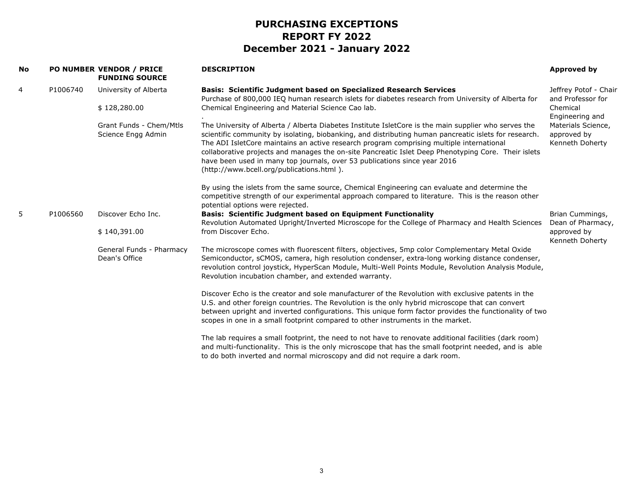| <b>No</b> |          | PO NUMBER VENDOR / PRICE<br><b>FUNDING SOURCE</b> | <b>DESCRIPTION</b>                                                                                                                                                                                                                                                                                                                                                                                                                                                                                                                         | Approved by                                          |
|-----------|----------|---------------------------------------------------|--------------------------------------------------------------------------------------------------------------------------------------------------------------------------------------------------------------------------------------------------------------------------------------------------------------------------------------------------------------------------------------------------------------------------------------------------------------------------------------------------------------------------------------------|------------------------------------------------------|
| 4         | P1006740 | University of Alberta                             | <b>Basis: Scientific Judgment based on Specialized Research Services</b><br>Purchase of 800,000 IEQ human research islets for diabetes research from University of Alberta for                                                                                                                                                                                                                                                                                                                                                             | Jeffrey Potof - Chair<br>and Professor for           |
|           |          | \$128,280.00                                      | Chemical Engineering and Material Science Cao lab.                                                                                                                                                                                                                                                                                                                                                                                                                                                                                         | Chemical<br>Engineering and                          |
|           |          | Grant Funds - Chem/Mtls<br>Science Engg Admin     | The University of Alberta / Alberta Diabetes Institute IsletCore is the main supplier who serves the<br>scientific community by isolating, biobanking, and distributing human pancreatic islets for research.<br>The ADI IsletCore maintains an active research program comprising multiple international<br>collaborative projects and manages the on-site Pancreatic Islet Deep Phenotyping Core. Their islets<br>have been used in many top journals, over 53 publications since year 2016<br>(http://www.bcell.org/publications.html). | Materials Science,<br>approved by<br>Kenneth Doherty |
|           |          |                                                   | By using the islets from the same source, Chemical Engineering can evaluate and determine the<br>competitive strength of our experimental approach compared to literature. This is the reason other<br>potential options were rejected.                                                                                                                                                                                                                                                                                                    |                                                      |
| 5         | P1006560 | Discover Echo Inc.                                | <b>Basis: Scientific Judgment based on Equipment Functionality</b><br>Revolution Automated Upright/Inverted Microscope for the College of Pharmacy and Health Sciences                                                                                                                                                                                                                                                                                                                                                                     | Brian Cummings,<br>Dean of Pharmacy,                 |
|           |          | \$140,391.00                                      | from Discover Echo.                                                                                                                                                                                                                                                                                                                                                                                                                                                                                                                        | approved by<br>Kenneth Doherty                       |
|           |          | General Funds - Pharmacy<br>Dean's Office         | The microscope comes with fluorescent filters, objectives, 5mp color Complementary Metal Oxide<br>Semiconductor, sCMOS, camera, high resolution condenser, extra-long working distance condenser,<br>revolution control joystick, HyperScan Module, Multi-Well Points Module, Revolution Analysis Module,<br>Revolution incubation chamber, and extended warranty.                                                                                                                                                                         |                                                      |
|           |          |                                                   | Discover Echo is the creator and sole manufacturer of the Revolution with exclusive patents in the<br>U.S. and other foreign countries. The Revolution is the only hybrid microscope that can convert<br>between upright and inverted configurations. This unique form factor provides the functionality of two<br>scopes in one in a small footprint compared to other instruments in the market.                                                                                                                                         |                                                      |
|           |          |                                                   | The lab requires a small footprint, the need to not have to renovate additional facilities (dark room)<br>and multi-functionality. This is the only microscope that has the small footprint needed, and is able<br>to do both inverted and normal microscopy and did not require a dark room.                                                                                                                                                                                                                                              |                                                      |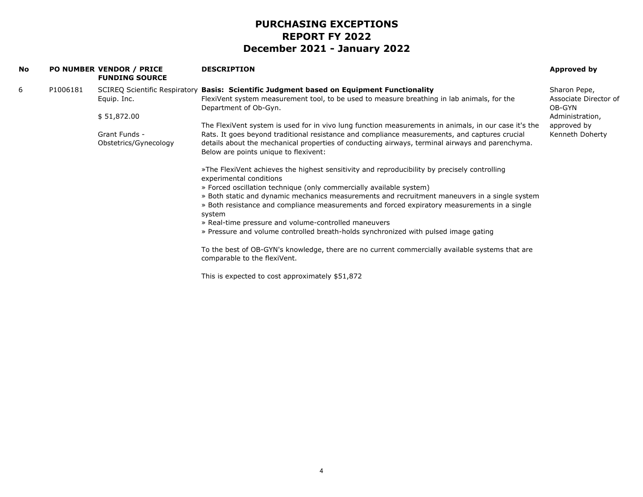| No. |          | PO NUMBER VENDOR / PRICE<br><b>FUNDING SOURCE</b> | <b>DESCRIPTION</b>                                                                                                                                                                                                                        | Approved by                                                        |
|-----|----------|---------------------------------------------------|-------------------------------------------------------------------------------------------------------------------------------------------------------------------------------------------------------------------------------------------|--------------------------------------------------------------------|
| 6   | P1006181 | Equip. Inc.<br>\$51,872.00                        | SCIREQ Scientific Respiratory Basis: Scientific Judgment based on Equipment Functionality<br>FlexiVent system measurement tool, to be used to measure breathing in lab animals, for the<br>Department of Ob-Gyn.                          | Sharon Pepe,<br>Associate Director of<br>OB-GYN<br>Administration, |
|     |          |                                                   | The FlexiVent system is used for in vivo lung function measurements in animals, in our case it's the                                                                                                                                      | approved by                                                        |
|     |          | Grant Funds -<br>Obstetrics/Gynecology            | Rats. It goes beyond traditional resistance and compliance measurements, and captures crucial<br>details about the mechanical properties of conducting airways, terminal airways and parenchyma.<br>Below are points unique to flexivent: | Kenneth Doherty                                                    |
|     |          |                                                   | »The FlexiVent achieves the highest sensitivity and reproducibility by precisely controlling<br>experimental conditions<br>» Forced oscillation technique (only commercially available system)                                            |                                                                    |
|     |          |                                                   | » Both static and dynamic mechanics measurements and recruitment maneuvers in a single system<br>» Both resistance and compliance measurements and forced expiratory measurements in a single<br>system                                   |                                                                    |
|     |          |                                                   | » Real-time pressure and volume-controlled maneuvers                                                                                                                                                                                      |                                                                    |
|     |          |                                                   | » Pressure and volume controlled breath-holds synchronized with pulsed image gating                                                                                                                                                       |                                                                    |
|     |          |                                                   | To the best of OB-GYN's knowledge, there are no current commercially available systems that are<br>comparable to the flexiVent.                                                                                                           |                                                                    |
|     |          |                                                   | This is expected to cost approximately \$51,872                                                                                                                                                                                           |                                                                    |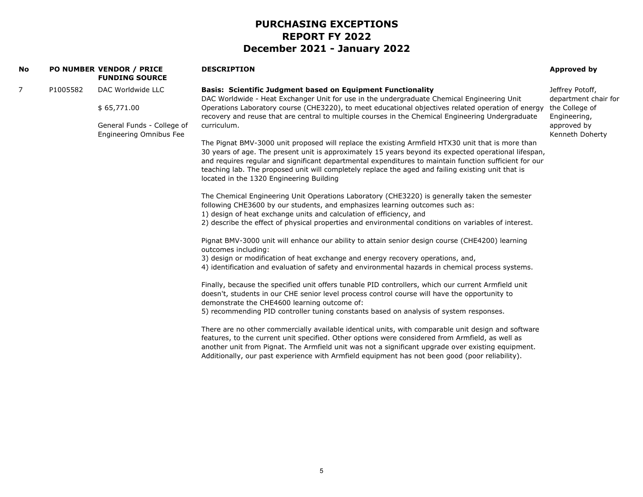|          | <b>FUNDING SOURCE</b>                                        | <b>DESCRIPTION</b>                                                                                                                                                                                                                                                                                                                                                                                                                                                     | Approved by                                                                                                                                                                                                                                                          |
|----------|--------------------------------------------------------------|------------------------------------------------------------------------------------------------------------------------------------------------------------------------------------------------------------------------------------------------------------------------------------------------------------------------------------------------------------------------------------------------------------------------------------------------------------------------|----------------------------------------------------------------------------------------------------------------------------------------------------------------------------------------------------------------------------------------------------------------------|
| P1005582 | DAC Worldwide LLC                                            | <b>Basis: Scientific Judgment based on Equipment Functionality</b>                                                                                                                                                                                                                                                                                                                                                                                                     | Jeffrey Potoff,<br>department chair for                                                                                                                                                                                                                              |
|          | \$65,771.00                                                  | Operations Laboratory course (CHE3220), to meet educational objectives related operation of energy<br>recovery and reuse that are central to multiple courses in the Chemical Engineering Undergraduate                                                                                                                                                                                                                                                                | the College of<br>Engineering,                                                                                                                                                                                                                                       |
|          | General Funds - College of<br><b>Engineering Omnibus Fee</b> | curriculum.                                                                                                                                                                                                                                                                                                                                                                                                                                                            | approved by<br>Kenneth Doherty                                                                                                                                                                                                                                       |
|          |                                                              | The Pignat BMV-3000 unit proposed will replace the existing Armfield HTX30 unit that is more than<br>30 years of age. The present unit is approximately 15 years beyond its expected operational lifespan,<br>and requires regular and significant departmental expenditures to maintain function sufficient for our<br>teaching lab. The proposed unit will completely replace the aged and failing existing unit that is<br>located in the 1320 Engineering Building |                                                                                                                                                                                                                                                                      |
|          |                                                              | The Chemical Engineering Unit Operations Laboratory (CHE3220) is generally taken the semester<br>following CHE3600 by our students, and emphasizes learning outcomes such as:                                                                                                                                                                                                                                                                                          |                                                                                                                                                                                                                                                                      |
|          |                                                              | 2) describe the effect of physical properties and environmental conditions on variables of interest.                                                                                                                                                                                                                                                                                                                                                                   |                                                                                                                                                                                                                                                                      |
|          |                                                              | Pignat BMV-3000 unit will enhance our ability to attain senior design course (CHE4200) learning<br>outcomes including:                                                                                                                                                                                                                                                                                                                                                 |                                                                                                                                                                                                                                                                      |
|          |                                                              | 3) design or modification of heat exchange and energy recovery operations, and,<br>4) identification and evaluation of safety and environmental hazards in chemical process systems.                                                                                                                                                                                                                                                                                   |                                                                                                                                                                                                                                                                      |
|          |                                                              | Finally, because the specified unit offers tunable PID controllers, which our current Armfield unit<br>doesn't, students in our CHE senior level process control course will have the opportunity to<br>demonstrate the CHE4600 learning outcome of:                                                                                                                                                                                                                   |                                                                                                                                                                                                                                                                      |
|          |                                                              | 5) recommending PID controller tuning constants based on analysis of system responses.                                                                                                                                                                                                                                                                                                                                                                                 |                                                                                                                                                                                                                                                                      |
|          |                                                              | There are no other commercially available identical units, with comparable unit design and software<br>features, to the current unit specified. Other options were considered from Armfield, as well as<br>another unit from Pignat. The Armfield unit was not a significant upgrade over existing equipment.                                                                                                                                                          |                                                                                                                                                                                                                                                                      |
|          |                                                              | PO NUMBER VENDOR / PRICE                                                                                                                                                                                                                                                                                                                                                                                                                                               | DAC Worldwide - Heat Exchanger Unit for use in the undergraduate Chemical Engineering Unit<br>1) design of heat exchange units and calculation of efficiency, and<br>Additionally, our past experience with Armfield equipment has not been good (poor reliability). |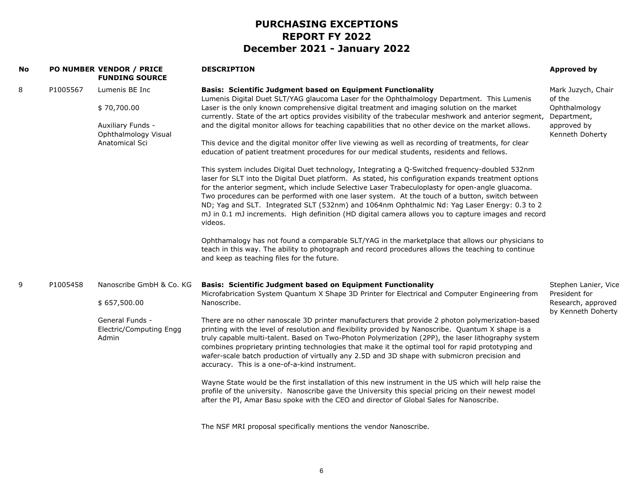| No |          | PO NUMBER VENDOR / PRICE<br><b>FUNDING SOURCE</b>                                               | <b>DESCRIPTION</b>                                                                                                                                                                                                                                                                                                                                                                                                                                                                                                                                                                                                                                                                                                                                                                                                                                                                                                                                                                                                                                                                                                                                                                                                                                                                                                                                                                                                                                                                                                                  | <b>Approved by</b>                                                                             |
|----|----------|-------------------------------------------------------------------------------------------------|-------------------------------------------------------------------------------------------------------------------------------------------------------------------------------------------------------------------------------------------------------------------------------------------------------------------------------------------------------------------------------------------------------------------------------------------------------------------------------------------------------------------------------------------------------------------------------------------------------------------------------------------------------------------------------------------------------------------------------------------------------------------------------------------------------------------------------------------------------------------------------------------------------------------------------------------------------------------------------------------------------------------------------------------------------------------------------------------------------------------------------------------------------------------------------------------------------------------------------------------------------------------------------------------------------------------------------------------------------------------------------------------------------------------------------------------------------------------------------------------------------------------------------------|------------------------------------------------------------------------------------------------|
| 8  | P1005567 | Lumenis BE Inc<br>\$70,700.00<br>Auxiliary Funds -<br>Ophthalmology Visual<br>Anatomical Sci    | <b>Basis: Scientific Judgment based on Equipment Functionality</b><br>Lumenis Digital Duet SLT/YAG glaucoma Laser for the Ophthalmology Department. This Lumenis<br>Laser is the only known comprehensive digital treatment and imaging solution on the market<br>currently. State of the art optics provides visibility of the trabecular meshwork and anterior segment,<br>and the digital monitor allows for teaching capabilities that no other device on the market allows.<br>This device and the digital monitor offer live viewing as well as recording of treatments, for clear<br>education of patient treatment procedures for our medical students, residents and fellows.<br>This system includes Digital Duet technology, Integrating a Q-Switched frequency-doubled 532nm<br>laser for SLT into the Digital Duet platform. As stated, his configuration expands treatment options<br>for the anterior segment, which include Selective Laser Trabeculoplasty for open-angle gluacoma.<br>Two procedures can be performed with one laser system. At the touch of a button, switch between<br>ND; Yag and SLT. Integrated SLT (532nm) and 1064nm Ophthalmic Nd: Yag Laser Energy: 0.3 to 2<br>mJ in 0.1 mJ increments. High definition (HD digital camera allows you to capture images and record<br>videos.<br>Ophthamalogy has not found a comparable SLT/YAG in the marketplace that allows our physicians to<br>teach in this way. The ability to photograph and record procedures allows the teaching to continue | Mark Juzych, Chair<br>of the<br>Ophthalmology<br>Department,<br>approved by<br>Kenneth Doherty |
| 9  | P1005458 | Nanoscribe GmbH & Co. KG<br>\$657,500.00<br>General Funds -<br>Electric/Computing Engg<br>Admin | and keep as teaching files for the future.<br><b>Basis: Scientific Judgment based on Equipment Functionality</b><br>Microfabrication System Quantum X Shape 3D Printer for Electrical and Computer Engineering from<br>Nanoscribe.<br>There are no other nanoscale 3D printer manufacturers that provide 2 photon polymerization-based<br>printing with the level of resolution and flexibility provided by Nanoscribe. Quantum X shape is a<br>truly capable multi-talent. Based on Two-Photon Polymerization (2PP), the laser lithography system<br>combines proprietary printing technologies that make it the optimal tool for rapid prototyping and                                                                                                                                                                                                                                                                                                                                                                                                                                                                                                                                                                                                                                                                                                                                                                                                                                                                            | Stephen Lanier, Vice<br>President for<br>Research, approved<br>by Kenneth Doherty              |
|    |          |                                                                                                 | wafer-scale batch production of virtually any 2.5D and 3D shape with submicron precision and<br>accuracy. This is a one-of-a-kind instrument.<br>Wayne State would be the first installation of this new instrument in the US which will help raise the<br>profile of the university. Nanoscribe gave the University this special pricing on their newest model<br>after the PI, Amar Basu spoke with the CEO and director of Global Sales for Nanoscribe.<br>The NSF MRI proposal specifically mentions the vendor Nanoscribe.                                                                                                                                                                                                                                                                                                                                                                                                                                                                                                                                                                                                                                                                                                                                                                                                                                                                                                                                                                                                     |                                                                                                |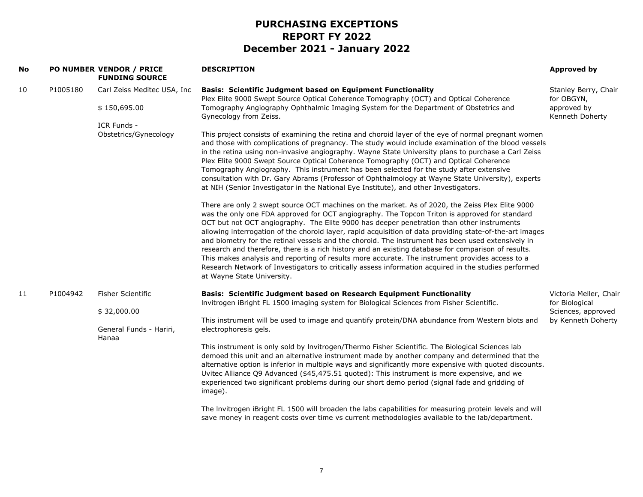| No |          | PO NUMBER VENDOR / PRICE<br><b>FUNDING SOURCE</b> | <b>DESCRIPTION</b>                                                                                                                                                                                                                                                                                                                                                                                                                                                                                                                                                                                                                                                                                                                                                                                                                                             | Approved by                              |
|----|----------|---------------------------------------------------|----------------------------------------------------------------------------------------------------------------------------------------------------------------------------------------------------------------------------------------------------------------------------------------------------------------------------------------------------------------------------------------------------------------------------------------------------------------------------------------------------------------------------------------------------------------------------------------------------------------------------------------------------------------------------------------------------------------------------------------------------------------------------------------------------------------------------------------------------------------|------------------------------------------|
| 10 | P1005180 | Carl Zeiss Meditec USA, Inc                       | <b>Basis: Scientific Judgment based on Equipment Functionality</b><br>Plex Elite 9000 Swept Source Optical Coherence Tomography (OCT) and Optical Coherence                                                                                                                                                                                                                                                                                                                                                                                                                                                                                                                                                                                                                                                                                                    | Stanley Berry, Chair<br>for OBGYN,       |
|    |          | \$150,695.00                                      | Tomography Angiography Ophthalmic Imaging System for the Department of Obstetrics and<br>Gynecology from Zeiss.                                                                                                                                                                                                                                                                                                                                                                                                                                                                                                                                                                                                                                                                                                                                                | approved by<br>Kenneth Doherty           |
|    |          | ICR Funds -<br>Obstetrics/Gynecology              | This project consists of examining the retina and choroid layer of the eye of normal pregnant women<br>and those with complications of pregnancy. The study would include examination of the blood vessels<br>in the retina using non-invasive angiography. Wayne State University plans to purchase a Carl Zeiss<br>Plex Elite 9000 Swept Source Optical Coherence Tomography (OCT) and Optical Coherence<br>Tomography Angiography. This instrument has been selected for the study after extensive<br>consultation with Dr. Gary Abrams (Professor of Ophthalmology at Wayne State University), experts<br>at NIH (Senior Investigator in the National Eye Institute), and other Investigators.                                                                                                                                                             |                                          |
|    |          |                                                   | There are only 2 swept source OCT machines on the market. As of 2020, the Zeiss Plex Elite 9000<br>was the only one FDA approved for OCT angiography. The Topcon Triton is approved for standard<br>OCT but not OCT angiography. The Elite 9000 has deeper penetration than other instruments<br>allowing interrogation of the choroid layer, rapid acquisition of data providing state-of-the-art images<br>and biometry for the retinal vessels and the choroid. The instrument has been used extensively in<br>research and therefore, there is a rich history and an existing database for comparison of results.<br>This makes analysis and reporting of results more accurate. The instrument provides access to a<br>Research Network of Investigators to critically assess information acquired in the studies performed<br>at Wayne State University. |                                          |
| 11 | P1004942 | <b>Fisher Scientific</b>                          | Basis: Scientific Judgment based on Research Equipment Functionality<br>Invitrogen iBright FL 1500 imaging system for Biological Sciences from Fisher Scientific.                                                                                                                                                                                                                                                                                                                                                                                                                                                                                                                                                                                                                                                                                              | Victoria Meller, Chair<br>for Biological |
|    |          | \$32,000.00<br>General Funds - Hariri,            | This instrument will be used to image and quantify protein/DNA abundance from Western blots and<br>electrophoresis gels.                                                                                                                                                                                                                                                                                                                                                                                                                                                                                                                                                                                                                                                                                                                                       | Sciences, approved<br>by Kenneth Doherty |
|    |          | Hanaa                                             | This instrument is only sold by Invitrogen/Thermo Fisher Scientific. The Biological Sciences lab<br>demoed this unit and an alternative instrument made by another company and determined that the<br>alternative option is inferior in multiple ways and significantly more expensive with quoted discounts.<br>Uvitec Alliance Q9 Advanced (\$45,475.51 quoted): This instrument is more expensive, and we<br>experienced two significant problems during our short demo period (signal fade and gridding of<br>image).                                                                                                                                                                                                                                                                                                                                      |                                          |
|    |          |                                                   | The Invitrogen iBright FL 1500 will broaden the labs capabilities for measuring protein levels and will<br>save money in reagent costs over time vs current methodologies available to the lab/department.                                                                                                                                                                                                                                                                                                                                                                                                                                                                                                                                                                                                                                                     |                                          |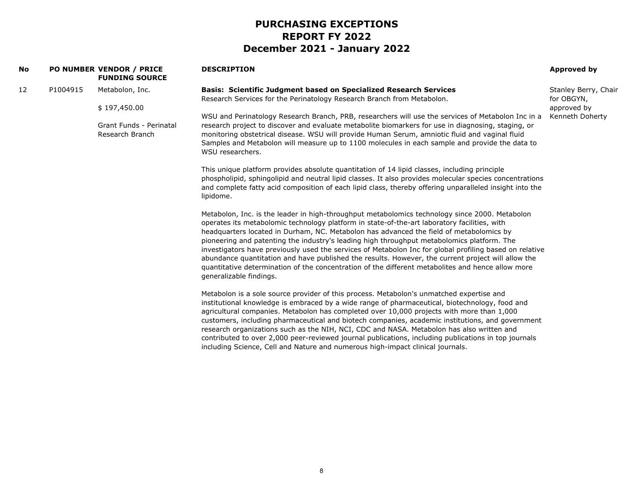| No |                         | <b>PO NUMBER VENDOR / PRICE</b><br><b>FUNDING SOURCE</b>                                                                                                                                                                                                                                                                                                                                                                                                                                                                                                                                                                                                                                                      | <b>DESCRIPTION</b>                                                                                                                                                                                                                                                                                                                                                                                                                                                                                                                                                                                                                                                                 | <b>Approved by</b>                 |
|----|-------------------------|---------------------------------------------------------------------------------------------------------------------------------------------------------------------------------------------------------------------------------------------------------------------------------------------------------------------------------------------------------------------------------------------------------------------------------------------------------------------------------------------------------------------------------------------------------------------------------------------------------------------------------------------------------------------------------------------------------------|------------------------------------------------------------------------------------------------------------------------------------------------------------------------------------------------------------------------------------------------------------------------------------------------------------------------------------------------------------------------------------------------------------------------------------------------------------------------------------------------------------------------------------------------------------------------------------------------------------------------------------------------------------------------------------|------------------------------------|
| 12 | P1004915                | Metabolon, Inc.                                                                                                                                                                                                                                                                                                                                                                                                                                                                                                                                                                                                                                                                                               | <b>Basis: Scientific Judgment based on Specialized Research Services</b><br>Research Services for the Perinatology Research Branch from Metabolon.                                                                                                                                                                                                                                                                                                                                                                                                                                                                                                                                 | Stanley Berry, Chair<br>for OBGYN, |
|    |                         | \$197,450.00                                                                                                                                                                                                                                                                                                                                                                                                                                                                                                                                                                                                                                                                                                  |                                                                                                                                                                                                                                                                                                                                                                                                                                                                                                                                                                                                                                                                                    | approved by                        |
|    |                         | Grant Funds - Perinatal<br>Research Branch                                                                                                                                                                                                                                                                                                                                                                                                                                                                                                                                                                                                                                                                    | WSU and Perinatology Research Branch, PRB, researchers will use the services of Metabolon Inc in a<br>research project to discover and evaluate metabolite biomarkers for use in diagnosing, staging, or<br>monitoring obstetrical disease. WSU will provide Human Serum, amniotic fluid and vaginal fluid<br>Samples and Metabolon will measure up to 1100 molecules in each sample and provide the data to<br>WSU researchers.                                                                                                                                                                                                                                                   | Kenneth Doherty                    |
|    |                         |                                                                                                                                                                                                                                                                                                                                                                                                                                                                                                                                                                                                                                                                                                               | This unique platform provides absolute quantitation of 14 lipid classes, including principle<br>phospholipid, sphingolipid and neutral lipid classes. It also provides molecular species concentrations<br>and complete fatty acid composition of each lipid class, thereby offering unparalleled insight into the<br>lipidome.                                                                                                                                                                                                                                                                                                                                                    |                                    |
|    | generalizable findings. | Metabolon, Inc. is the leader in high-throughput metabolomics technology since 2000. Metabolon<br>operates its metabolomic technology platform in state-of-the-art laboratory facilities, with<br>headquarters located in Durham, NC. Metabolon has advanced the field of metabolomics by<br>pioneering and patenting the industry's leading high throughput metabolomics platform. The<br>investigators have previously used the services of Metabolon Inc for global profiling based on relative<br>abundance quantitation and have published the results. However, the current project will allow the<br>quantitative determination of the concentration of the different metabolites and hence allow more |                                                                                                                                                                                                                                                                                                                                                                                                                                                                                                                                                                                                                                                                                    |                                    |
|    |                         |                                                                                                                                                                                                                                                                                                                                                                                                                                                                                                                                                                                                                                                                                                               | Metabolon is a sole source provider of this process. Metabolon's unmatched expertise and<br>institutional knowledge is embraced by a wide range of pharmaceutical, biotechnology, food and<br>agricultural companies. Metabolon has completed over 10,000 projects with more than 1,000<br>customers, including pharmaceutical and biotech companies, academic institutions, and government<br>research organizations such as the NIH, NCI, CDC and NASA. Metabolon has also written and<br>contributed to over 2,000 peer-reviewed journal publications, including publications in top journals<br>including Science, Cell and Nature and numerous high-impact clinical journals. |                                    |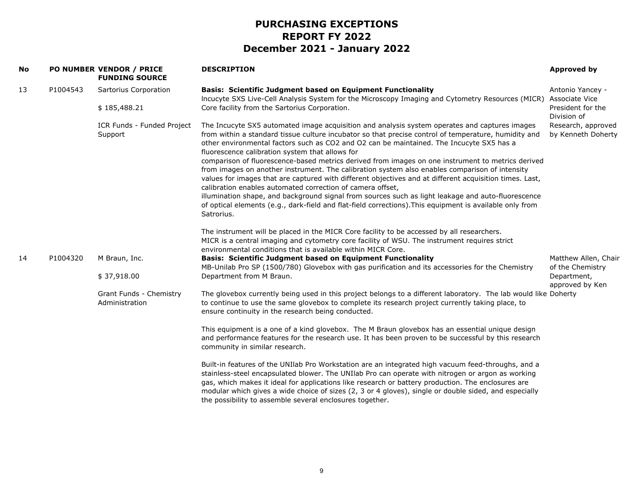| No |          | <b>PO NUMBER VENDOR / PRICE</b><br><b>FUNDING SOURCE</b> | <b>DESCRIPTION</b>                                                                                                                                                                                                                                                                                                                                                                                                                                                                                                                                                                                                                                                                                                                                                                                                                                                                                                                                                   | Approved by                              |
|----|----------|----------------------------------------------------------|----------------------------------------------------------------------------------------------------------------------------------------------------------------------------------------------------------------------------------------------------------------------------------------------------------------------------------------------------------------------------------------------------------------------------------------------------------------------------------------------------------------------------------------------------------------------------------------------------------------------------------------------------------------------------------------------------------------------------------------------------------------------------------------------------------------------------------------------------------------------------------------------------------------------------------------------------------------------|------------------------------------------|
| 13 | P1004543 | Sartorius Corporation                                    | <b>Basis: Scientific Judgment based on Equipment Functionality</b><br>Incucyte SXS Live-Cell Analysis System for the Microscopy Imaging and Cytometry Resources (MICR)                                                                                                                                                                                                                                                                                                                                                                                                                                                                                                                                                                                                                                                                                                                                                                                               | Antonio Yancey -<br>Associate Vice       |
|    |          | \$185,488.21                                             | Core facility from the Sartorius Corporation.                                                                                                                                                                                                                                                                                                                                                                                                                                                                                                                                                                                                                                                                                                                                                                                                                                                                                                                        | President for the<br>Division of         |
|    |          | ICR Funds - Funded Project<br>Support                    | The Incucyte SX5 automated image acquisition and analysis system operates and captures images<br>from within a standard tissue culture incubator so that precise control of temperature, humidity and<br>other environmental factors such as CO2 and O2 can be maintained. The Incucyte SX5 has a<br>fluorescence calibration system that allows for<br>comparison of fluorescence-based metrics derived from images on one instrument to metrics derived<br>from images on another instrument. The calibration system also enables comparison of intensity<br>values for images that are captured with different objectives and at different acquisition times. Last,<br>calibration enables automated correction of camera offset,<br>illumination shape, and background signal from sources such as light leakage and auto-fluorescence<br>of optical elements (e.g., dark-field and flat-field corrections). This equipment is available only from<br>Satrorius. | Research, approved<br>by Kenneth Doherty |
|    |          |                                                          | The instrument will be placed in the MICR Core facility to be accessed by all researchers.<br>MICR is a central imaging and cytometry core facility of WSU. The instrument requires strict<br>environmental conditions that is available within MICR Core.                                                                                                                                                                                                                                                                                                                                                                                                                                                                                                                                                                                                                                                                                                           |                                          |
| 14 | P1004320 | M Braun, Inc.                                            | <b>Basis: Scientific Judgment based on Equipment Functionality</b><br>MB-Unilab Pro SP (1500/780) Glovebox with gas purification and its accessories for the Chemistry                                                                                                                                                                                                                                                                                                                                                                                                                                                                                                                                                                                                                                                                                                                                                                                               | Matthew Allen, Chair<br>of the Chemistry |
|    |          | \$37,918.00                                              | Department from M Braun.                                                                                                                                                                                                                                                                                                                                                                                                                                                                                                                                                                                                                                                                                                                                                                                                                                                                                                                                             | Department,<br>approved by Ken           |
|    |          | Grant Funds - Chemistry<br>Administration                | The glovebox currently being used in this project belongs to a different laboratory. The lab would like Doherty<br>to continue to use the same glovebox to complete its research project currently taking place, to<br>ensure continuity in the research being conducted.                                                                                                                                                                                                                                                                                                                                                                                                                                                                                                                                                                                                                                                                                            |                                          |
|    |          |                                                          | This equipment is a one of a kind glovebox. The M Braun glovebox has an essential unique design<br>and performance features for the research use. It has been proven to be successful by this research<br>community in similar research.                                                                                                                                                                                                                                                                                                                                                                                                                                                                                                                                                                                                                                                                                                                             |                                          |
|    |          |                                                          | Built-in features of the UNIlab Pro Workstation are an integrated high vacuum feed-throughs, and a<br>stainless-steel encapsulated blower. The UNIIab Pro can operate with nitrogen or argon as working<br>gas, which makes it ideal for applications like research or battery production. The enclosures are<br>modular which gives a wide choice of sizes (2, 3 or 4 gloves), single or double sided, and especially<br>the possibility to assemble several enclosures together.                                                                                                                                                                                                                                                                                                                                                                                                                                                                                   |                                          |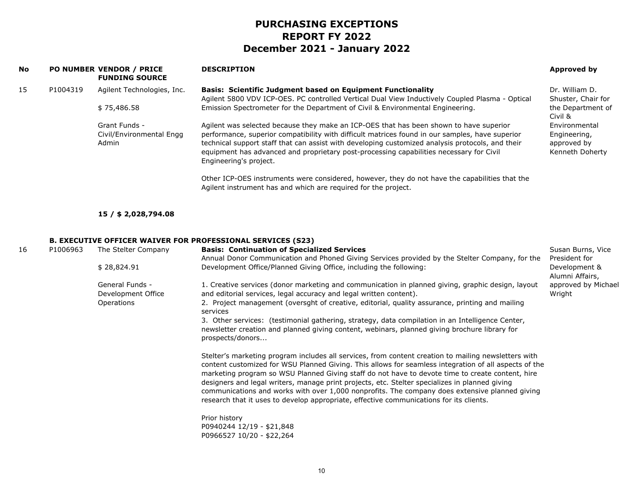| No |          | PO NUMBER VENDOR / PRICE<br><b>FUNDING SOURCE</b>  | <b>DESCRIPTION</b>                                                                                                                                                                                                                                                                                                                                                                                                                                                                                                                                                                                               | <b>Approved by</b>                                              |
|----|----------|----------------------------------------------------|------------------------------------------------------------------------------------------------------------------------------------------------------------------------------------------------------------------------------------------------------------------------------------------------------------------------------------------------------------------------------------------------------------------------------------------------------------------------------------------------------------------------------------------------------------------------------------------------------------------|-----------------------------------------------------------------|
| 15 | P1004319 | Agilent Technologies, Inc.                         | <b>Basis: Scientific Judgment based on Equipment Functionality</b><br>Agilent 5800 VDV ICP-OES. PC controlled Vertical Dual View Inductively Coupled Plasma - Optical                                                                                                                                                                                                                                                                                                                                                                                                                                            | Dr. William D.<br>Shuster, Chair for                            |
|    |          | \$75,486.58                                        | Emission Spectrometer for the Department of Civil & Environmental Engineering.                                                                                                                                                                                                                                                                                                                                                                                                                                                                                                                                   | the Department of<br>Civil &                                    |
|    |          | Grant Funds -<br>Civil/Environmental Engg<br>Admin | Agilent was selected because they make an ICP-OES that has been shown to have superior<br>performance, superior compatibility with difficult matrices found in our samples, have superior<br>technical support staff that can assist with developing customized analysis protocols, and their<br>equipment has advanced and proprietary post-processing capabilities necessary for Civil<br>Engineering's project.                                                                                                                                                                                               | Environmental<br>Engineering,<br>approved by<br>Kenneth Doherty |
|    |          |                                                    | Other ICP-OES instruments were considered, however, they do not have the capabilities that the<br>Agilent instrument has and which are required for the project.                                                                                                                                                                                                                                                                                                                                                                                                                                                 |                                                                 |
|    |          | 15 / \$ 2,028,794.08                               |                                                                                                                                                                                                                                                                                                                                                                                                                                                                                                                                                                                                                  |                                                                 |
|    |          |                                                    | <b>B. EXECUTIVE OFFICER WAIVER FOR PROFESSIONAL SERVICES (S23)</b>                                                                                                                                                                                                                                                                                                                                                                                                                                                                                                                                               |                                                                 |
| 16 | P1006963 | The Stelter Company                                | <b>Basis: Continuation of Specialized Services</b>                                                                                                                                                                                                                                                                                                                                                                                                                                                                                                                                                               | Susan Burns, Vice                                               |
|    |          | \$28,824.91                                        | Annual Donor Communication and Phoned Giving Services provided by the Stelter Company, for the<br>Development Office/Planned Giving Office, including the following:                                                                                                                                                                                                                                                                                                                                                                                                                                             | President for<br>Development &<br>Alumni Affairs,               |
|    |          | General Funds -                                    | 1. Creative services (donor marketing and communication in planned giving, graphic design, layout                                                                                                                                                                                                                                                                                                                                                                                                                                                                                                                | approved by Michael                                             |
|    |          | Development Office<br>Operations                   | and editorial services, legal accuracy and legal written content).<br>2. Project management (oversght of creative, editorial, quality assurance, printing and mailing                                                                                                                                                                                                                                                                                                                                                                                                                                            | Wright                                                          |
|    |          |                                                    | services<br>3. Other services: (testimonial gathering, strategy, data compilation in an Intelligence Center,<br>newsletter creation and planned giving content, webinars, planned giving brochure library for                                                                                                                                                                                                                                                                                                                                                                                                    |                                                                 |
|    |          |                                                    | prospects/donors                                                                                                                                                                                                                                                                                                                                                                                                                                                                                                                                                                                                 |                                                                 |
|    |          |                                                    | Stelter's marketing program includes all services, from content creation to mailing newsletters with<br>content customized for WSU Planned Giving. This allows for seamless integration of all aspects of the<br>marketing program so WSU Planned Giving staff do not have to devote time to create content, hire<br>designers and legal writers, manage print projects, etc. Stelter specializes in planned giving<br>communications and works with over 1,000 nonprofits. The company does extensive planned giving<br>research that it uses to develop appropriate, effective communications for its clients. |                                                                 |
|    |          |                                                    | Prior history<br>P0940244 12/19 - \$21,848<br>P0966527 10/20 - \$22,264                                                                                                                                                                                                                                                                                                                                                                                                                                                                                                                                          |                                                                 |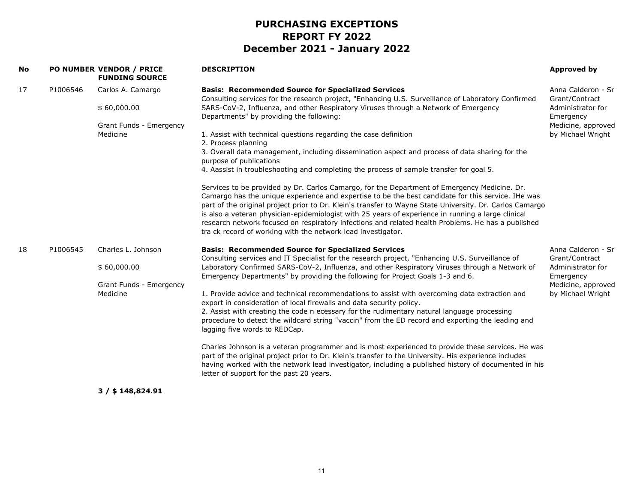| <b>No</b> |          | PO NUMBER VENDOR / PRICE<br><b>FUNDING SOURCE</b>                        | <b>DESCRIPTION</b>                                                                                                                                                                                                                                                                                                                                                                                                                                                                                                                                                                                                                                                                                                                                                                                                                                                                                                                                                                                                                                                                                                                                                                                                  | Approved by                                                                                                       |
|-----------|----------|--------------------------------------------------------------------------|---------------------------------------------------------------------------------------------------------------------------------------------------------------------------------------------------------------------------------------------------------------------------------------------------------------------------------------------------------------------------------------------------------------------------------------------------------------------------------------------------------------------------------------------------------------------------------------------------------------------------------------------------------------------------------------------------------------------------------------------------------------------------------------------------------------------------------------------------------------------------------------------------------------------------------------------------------------------------------------------------------------------------------------------------------------------------------------------------------------------------------------------------------------------------------------------------------------------|-------------------------------------------------------------------------------------------------------------------|
| 17        | P1006546 | Carlos A. Camargo<br>\$60,000.00<br>Grant Funds - Emergency<br>Medicine  | <b>Basis: Recommended Source for Specialized Services</b><br>Consulting services for the research project, "Enhancing U.S. Surveillance of Laboratory Confirmed<br>SARS-CoV-2, Influenza, and other Respiratory Viruses through a Network of Emergency<br>Departments" by providing the following:<br>1. Assist with technical questions regarding the case definition<br>2. Process planning<br>3. Overall data management, including dissemination aspect and process of data sharing for the<br>purpose of publications<br>4. Aassist in troubleshooting and completing the process of sample transfer for goal 5.<br>Services to be provided by Dr. Carlos Camargo, for the Department of Emergency Medicine. Dr.<br>Camargo has the unique experience and expertise to be the best candidate for this service. IHe was<br>part of the original project prior to Dr. Klein's transfer to Wayne State University. Dr. Carlos Camargo<br>is also a veteran physician-epidemiologist with 25 years of experience in running a large clinical<br>research network focused on respiratory infections and related health Problems. He has a published<br>tra ck record of working with the network lead investigator. | Anna Calderon - Sr<br>Grant/Contract<br>Administrator for<br>Emergency<br>Medicine, approved<br>by Michael Wright |
| 18        | P1006545 | Charles L. Johnson<br>\$60,000.00<br>Grant Funds - Emergency<br>Medicine | <b>Basis: Recommended Source for Specialized Services</b><br>Consulting services and IT Specialist for the research project, "Enhancing U.S. Surveillance of<br>Laboratory Confirmed SARS-CoV-2, Influenza, and other Respiratory Viruses through a Network of<br>Emergency Departments" by providing the following for Project Goals 1-3 and 6.<br>1. Provide advice and technical recommendations to assist with overcoming data extraction and<br>export in consideration of local firewalls and data security policy.<br>2. Assist with creating the code n ecessary for the rudimentary natural language processing<br>procedure to detect the wildcard string "vaccin" from the ED record and exporting the leading and<br>lagging five words to REDCap.<br>Charles Johnson is a veteran programmer and is most experienced to provide these services. He was<br>part of the original project prior to Dr. Klein's transfer to the University. His experience includes<br>having worked with the network lead investigator, including a published history of documented in his<br>letter of support for the past 20 years.                                                                                    | Anna Calderon - Sr<br>Grant/Contract<br>Administrator for<br>Emergency<br>Medicine, approved<br>by Michael Wright |
|           |          | $3/$ \$148,824.91                                                        |                                                                                                                                                                                                                                                                                                                                                                                                                                                                                                                                                                                                                                                                                                                                                                                                                                                                                                                                                                                                                                                                                                                                                                                                                     |                                                                                                                   |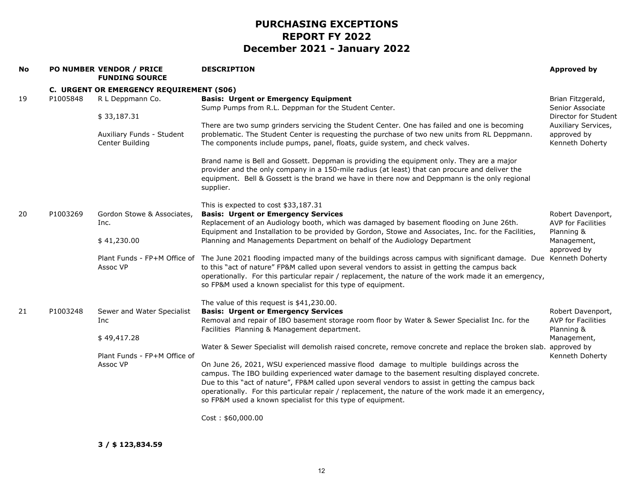| <b>No</b> |          | PO NUMBER VENDOR / PRICE<br><b>FUNDING SOURCE</b> | <b>DESCRIPTION</b>                                                                                                                                                                                                                                                                                                                                                                                                                                                       | <b>Approved by</b>                                    |
|-----------|----------|---------------------------------------------------|--------------------------------------------------------------------------------------------------------------------------------------------------------------------------------------------------------------------------------------------------------------------------------------------------------------------------------------------------------------------------------------------------------------------------------------------------------------------------|-------------------------------------------------------|
|           |          | C. URGENT OR EMERGENCY REQUIREMENT (S06)          |                                                                                                                                                                                                                                                                                                                                                                                                                                                                          |                                                       |
| 19        | P1005848 | R L Deppmann Co.                                  | <b>Basis: Urgent or Emergency Equipment</b><br>Sump Pumps from R.L. Deppman for the Student Center.                                                                                                                                                                                                                                                                                                                                                                      | Brian Fitzgerald,<br>Senior Associate                 |
|           |          | \$33,187.31                                       |                                                                                                                                                                                                                                                                                                                                                                                                                                                                          | Director for Student                                  |
|           |          | Auxiliary Funds - Student<br>Center Building      | There are two sump grinders servicing the Student Center. One has failed and one is becoming<br>problematic. The Student Center is requesting the purchase of two new units from RL Deppmann.<br>The components include pumps, panel, floats, guide system, and check valves.                                                                                                                                                                                            | Auxiliary Services,<br>approved by<br>Kenneth Doherty |
|           |          |                                                   | Brand name is Bell and Gossett. Deppman is providing the equipment only. They are a major<br>provider and the only company in a 150-mile radius (at least) that can procure and deliver the<br>equipment. Bell & Gossett is the brand we have in there now and Deppmann is the only regional<br>supplier.                                                                                                                                                                |                                                       |
|           |          |                                                   | This is expected to cost \$33,187.31                                                                                                                                                                                                                                                                                                                                                                                                                                     |                                                       |
| 20        | P1003269 | Gordon Stowe & Associates,                        | <b>Basis: Urgent or Emergency Services</b>                                                                                                                                                                                                                                                                                                                                                                                                                               | Robert Davenport,                                     |
|           |          | Inc.                                              | Replacement of an Audiology booth, which was damaged by basement flooding on June 26th.                                                                                                                                                                                                                                                                                                                                                                                  | <b>AVP for Facilities</b>                             |
|           |          | \$41,230.00                                       | Equipment and Installation to be provided by Gordon, Stowe and Associates, Inc. for the Facilities,<br>Planning and Managements Department on behalf of the Audiology Department                                                                                                                                                                                                                                                                                         | Planning &<br>Management,<br>approved by              |
|           |          | Assoc VP                                          | Plant Funds - FP+M Office of The June 2021 flooding impacted many of the buildings across campus with significant damage. Due Kenneth Doherty<br>to this "act of nature" FP&M called upon several vendors to assist in getting the campus back<br>operationally. For this particular repair / replacement, the nature of the work made it an emergency,<br>so FP&M used a known specialist for this type of equipment.                                                   |                                                       |
|           |          |                                                   | The value of this request is \$41,230.00.                                                                                                                                                                                                                                                                                                                                                                                                                                |                                                       |
| 21        | P1003248 | Sewer and Water Specialist                        | <b>Basis: Urgent or Emergency Services</b>                                                                                                                                                                                                                                                                                                                                                                                                                               | Robert Davenport,                                     |
|           |          | Inc.                                              | Removal and repair of IBO basement storage room floor by Water & Sewer Specialist Inc. for the                                                                                                                                                                                                                                                                                                                                                                           | AVP for Facilities                                    |
|           |          |                                                   | Facilities Planning & Management department.                                                                                                                                                                                                                                                                                                                                                                                                                             | Planning &                                            |
|           |          | \$49,417.28                                       | Water & Sewer Specialist will demolish raised concrete, remove concrete and replace the broken slab.                                                                                                                                                                                                                                                                                                                                                                     | Management,<br>approved by                            |
|           |          | Plant Funds - FP+M Office of                      |                                                                                                                                                                                                                                                                                                                                                                                                                                                                          | Kenneth Doherty                                       |
|           |          | Assoc VP                                          | On June 26, 2021, WSU experienced massive flood damage to multiple buildings across the<br>campus. The IBO building experienced water damage to the basement resulting displayed concrete.<br>Due to this "act of nature", FP&M called upon several vendors to assist in getting the campus back<br>operationally. For this particular repair / replacement, the nature of the work made it an emergency,<br>so FP&M used a known specialist for this type of equipment. |                                                       |
|           |          |                                                   | Cost: \$60,000.00                                                                                                                                                                                                                                                                                                                                                                                                                                                        |                                                       |

**3 / \$ 123,834.59**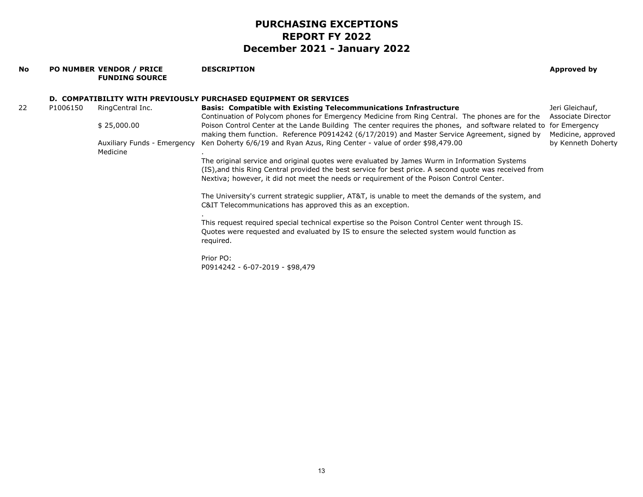#### **No PO NUMBER VENDOR / PRICE FUNDING SOURCEDESCRIPTION Approved by D. COMPATIBILITY WITH PREVIOUSLY PURCHASED EQUIPMENT OR SERVICES** 22 P1006150 RingCentral Inc. \$ 25,000.00 Auxiliary Funds - Emergency Medicine**Basis: Compatible with Existing Telecommunications Infrastructure** Continuation of Polycom phones for Emergency Medicine from Ring Central. The phones are for the Poison Control Center at the Lande Building The center requires the phones, and software related to for Emergency making them function. Reference P0914242 (6/17/2019) and Master Service Agreement, signed by Ken Doherty 6/6/19 and Ryan Azus, Ring Center - value of order \$98,479.00 . The original service and original quotes were evaluated by James Wurm in Information Systems (IS),and this Ring Central provided the best service for best price. A second quote was received from Nextiva; however, it did not meet the needs or requirement of the Poison Control Center. The University's current strategic supplier, AT&T, is unable to meet the demands of the system, and C&IT Telecommunications has approved this as an exception. . This request required special technical expertise so the Poison Control Center went through IS. Quotes were requested and evaluated by IS to ensure the selected system would function as required. Prior PO: P0914242 - 6-07-2019 - \$98,479 Jeri Gleichauf, Associate Director Medicine, approved by Kenneth Doherty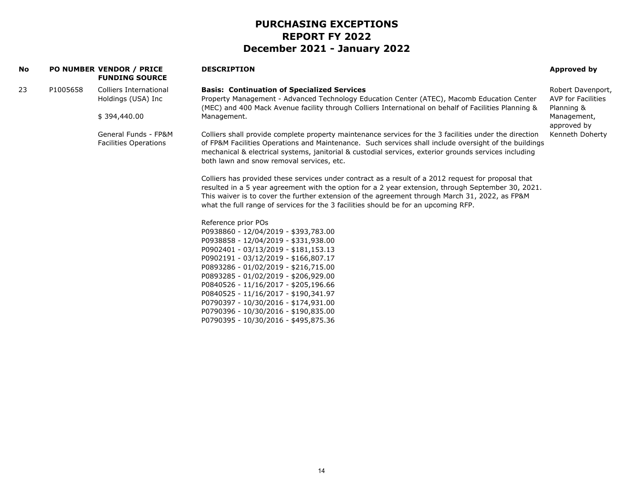| <b>No</b> |          | <b>PO NUMBER VENDOR / PRICE</b><br><b>FUNDING SOURCE</b> | <b>DESCRIPTION</b>                                                                                                                                                                                                                                                                                                                                                                                 | <b>Approved by</b>                                           |
|-----------|----------|----------------------------------------------------------|----------------------------------------------------------------------------------------------------------------------------------------------------------------------------------------------------------------------------------------------------------------------------------------------------------------------------------------------------------------------------------------------------|--------------------------------------------------------------|
| 23        | P1005658 | <b>Colliers International</b><br>Holdings (USA) Inc      | <b>Basis: Continuation of Specialized Services</b><br>Property Management - Advanced Technology Education Center (ATEC), Macomb Education Center<br>(MEC) and 400 Mack Avenue facility through Colliers International on behalf of Facilities Planning &                                                                                                                                           | Robert Davenport,<br><b>AVP</b> for Facilities<br>Planning & |
|           |          | \$394,440.00                                             | Management.                                                                                                                                                                                                                                                                                                                                                                                        | Management,<br>approved by                                   |
|           |          | General Funds - FP&M<br><b>Facilities Operations</b>     | Colliers shall provide complete property maintenance services for the 3 facilities under the direction<br>of FP&M Facilities Operations and Maintenance. Such services shall include oversight of the buildings<br>mechanical & electrical systems, janitorial & custodial services, exterior grounds services including<br>both lawn and snow removal services, etc.                              | Kenneth Doherty                                              |
|           |          |                                                          | Colliers has provided these services under contract as a result of a 2012 request for proposal that<br>resulted in a 5 year agreement with the option for a 2 year extension, through September 30, 2021.<br>This waiver is to cover the further extension of the agreement through March 31, 2022, as FP&M<br>what the full range of services for the 3 facilities should be for an upcoming RFP. |                                                              |
|           |          |                                                          | Reference prior POs                                                                                                                                                                                                                                                                                                                                                                                |                                                              |
|           |          |                                                          | P0938860 - 12/04/2019 - \$393,783.00                                                                                                                                                                                                                                                                                                                                                               |                                                              |
|           |          |                                                          | P0938858 - 12/04/2019 - \$331,938.00<br>P0902401 - 03/13/2019 - \$181,153.13                                                                                                                                                                                                                                                                                                                       |                                                              |
|           |          |                                                          | P0902191 - 03/12/2019 - \$166,807.17                                                                                                                                                                                                                                                                                                                                                               |                                                              |
|           |          |                                                          | P0893286 - 01/02/2019 - \$216,715.00                                                                                                                                                                                                                                                                                                                                                               |                                                              |
|           |          |                                                          | P0893285 - 01/02/2019 - \$206,929.00<br>P0840526 - 11/16/2017 - \$205,196.66                                                                                                                                                                                                                                                                                                                       |                                                              |
|           |          |                                                          | P0840525 - 11/16/2017 - \$190,341.97                                                                                                                                                                                                                                                                                                                                                               |                                                              |
|           |          |                                                          | P0790397 - 10/30/2016 - \$174,931.00                                                                                                                                                                                                                                                                                                                                                               |                                                              |
|           |          |                                                          | P0790396 - 10/30/2016 - \$190,835.00<br>P0790395 - 10/30/2016 - \$495,875.36                                                                                                                                                                                                                                                                                                                       |                                                              |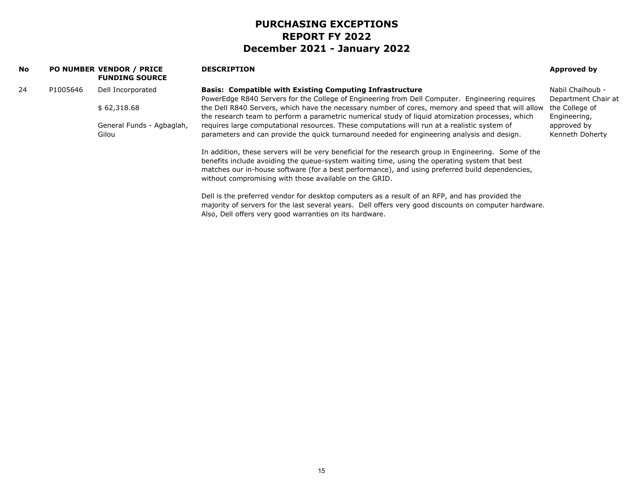| <b>No</b> |          | <b>PO NUMBER VENDOR / PRICE</b><br><b>FUNDING SOURCE</b> | <b>DESCRIPTION</b>                                                                                                                                                                                                                                                                                                                                                  | Approved by                             |
|-----------|----------|----------------------------------------------------------|---------------------------------------------------------------------------------------------------------------------------------------------------------------------------------------------------------------------------------------------------------------------------------------------------------------------------------------------------------------------|-----------------------------------------|
| 24        | P1005646 | Dell Incorporated                                        | <b>Basis: Compatible with Existing Computing Infrastructure</b><br>PowerEdge R840 Servers for the College of Engineering from Dell Computer. Engineering requires                                                                                                                                                                                                   | Nabil Chalhoub -<br>Department Chair at |
|           |          | \$62,318.68                                              | the Dell R840 Servers, which have the necessary number of cores, memory and speed that will allow<br>the research team to perform a parametric numerical study of liquid atomization processes, which                                                                                                                                                               | the College of<br>Engineering,          |
|           |          | General Funds - Agbaglah,<br>Gilou                       | requires large computational resources. These computations will run at a realistic system of<br>parameters and can provide the quick turnaround needed for engineering analysis and design.                                                                                                                                                                         | approved by<br>Kenneth Doherty          |
|           |          |                                                          | In addition, these servers will be very beneficial for the research group in Engineering. Some of the<br>benefits include avoiding the queue-system waiting time, using the operating system that best<br>matches our in-house software (for a best performance), and using preferred build dependencies,<br>without compromising with those available on the GRID. |                                         |
|           |          |                                                          | Dell is the preferred vendor for desktop computers as a result of an RFP, and has provided the<br>majority of servers for the last several years. Dell offers very good discounts on computer hardware.<br>Also, Dell offers very good warranties on its hardware.                                                                                                  |                                         |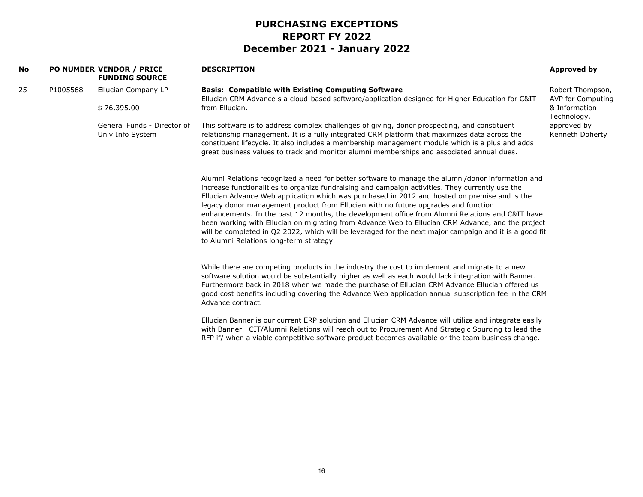| No |          | PO NUMBER VENDOR / PRICE<br><b>FUNDING SOURCE</b> | <b>DESCRIPTION</b>                                                                                                                                                                                                                                                                                                                                                                                                                                                                                                                                                                                                                                                                                                                                        | Approved by                                            |
|----|----------|---------------------------------------------------|-----------------------------------------------------------------------------------------------------------------------------------------------------------------------------------------------------------------------------------------------------------------------------------------------------------------------------------------------------------------------------------------------------------------------------------------------------------------------------------------------------------------------------------------------------------------------------------------------------------------------------------------------------------------------------------------------------------------------------------------------------------|--------------------------------------------------------|
| 25 | P1005568 | Ellucian Company LP<br>\$76,395.00                | <b>Basis: Compatible with Existing Computing Software</b><br>Ellucian CRM Advance s a cloud-based software/application designed for Higher Education for C&IT<br>from Ellucian.                                                                                                                                                                                                                                                                                                                                                                                                                                                                                                                                                                           | Robert Thompson,<br>AVP for Computing<br>& Information |
|    |          | General Funds - Director of<br>Univ Info System   | This software is to address complex challenges of giving, donor prospecting, and constituent<br>relationship management. It is a fully integrated CRM platform that maximizes data across the<br>constituent lifecycle. It also includes a membership management module which is a plus and adds<br>great business values to track and monitor alumni memberships and associated annual dues.                                                                                                                                                                                                                                                                                                                                                             | Technology,<br>approved by<br>Kenneth Doherty          |
|    |          |                                                   | Alumni Relations recognized a need for better software to manage the alumni/donor information and<br>increase functionalities to organize fundraising and campaign activities. They currently use the<br>Ellucian Advance Web application which was purchased in 2012 and hosted on premise and is the<br>legacy donor management product from Ellucian with no future upgrades and function<br>enhancements. In the past 12 months, the development office from Alumni Relations and C&IT have<br>been working with Ellucian on migrating from Advance Web to Ellucian CRM Advance, and the project<br>will be completed in Q2 2022, which will be leveraged for the next major campaign and it is a good fit<br>to Alumni Relations long-term strategy. |                                                        |
|    |          |                                                   | While there are competing products in the industry the cost to implement and migrate to a new<br>software solution would be substantially higher as well as each would lack integration with Banner.<br>Furthermore back in 2018 when we made the purchase of Ellucian CRM Advance Ellucian offered us<br>good cost benefits including covering the Advance Web application annual subscription fee in the CRM<br>Advance contract.                                                                                                                                                                                                                                                                                                                       |                                                        |
|    |          |                                                   | Ellucian Banner is our current ERP solution and Ellucian CRM Advance will utilize and integrate easily<br>with Banner. CIT/Alumni Relations will reach out to Procurement And Strategic Sourcing to lead the<br>RFP if/ when a viable competitive software product becomes available or the team business change.                                                                                                                                                                                                                                                                                                                                                                                                                                         |                                                        |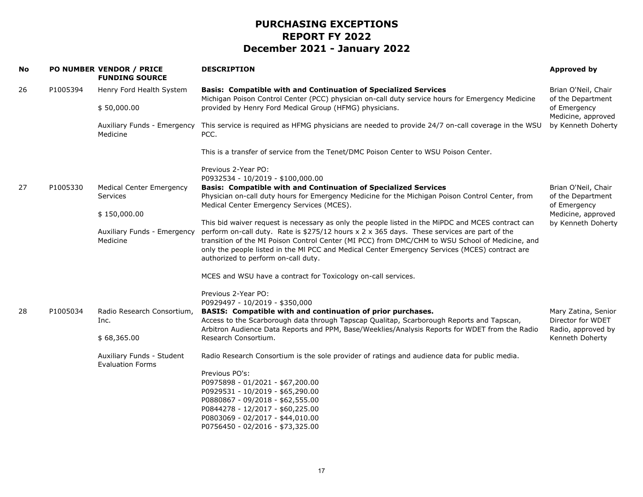| No |          | PO NUMBER VENDOR / PRICE<br><b>FUNDING SOURCE</b>    | <b>DESCRIPTION</b>                                                                                                                                                                                                                                                                                                                                                                                                                           | Approved by                              |
|----|----------|------------------------------------------------------|----------------------------------------------------------------------------------------------------------------------------------------------------------------------------------------------------------------------------------------------------------------------------------------------------------------------------------------------------------------------------------------------------------------------------------------------|------------------------------------------|
| 26 | P1005394 | Henry Ford Health System                             | <b>Basis: Compatible with and Continuation of Specialized Services</b><br>Michigan Poison Control Center (PCC) physician on-call duty service hours for Emergency Medicine                                                                                                                                                                                                                                                                   | Brian O'Neil, Chair<br>of the Department |
|    |          | \$50,000.00                                          | provided by Henry Ford Medical Group (HFMG) physicians.                                                                                                                                                                                                                                                                                                                                                                                      | of Emergency<br>Medicine, approved       |
|    |          | Auxiliary Funds - Emergency<br>Medicine              | This service is required as HFMG physicians are needed to provide 24/7 on-call coverage in the WSU<br>PCC.                                                                                                                                                                                                                                                                                                                                   | by Kenneth Doherty                       |
|    |          |                                                      | This is a transfer of service from the Tenet/DMC Poison Center to WSU Poison Center.                                                                                                                                                                                                                                                                                                                                                         |                                          |
|    |          |                                                      | Previous 2-Year PO:<br>P0932534 - 10/2019 - \$100,000.00                                                                                                                                                                                                                                                                                                                                                                                     |                                          |
| 27 | P1005330 | <b>Medical Center Emergency</b>                      | <b>Basis: Compatible with and Continuation of Specialized Services</b>                                                                                                                                                                                                                                                                                                                                                                       | Brian O'Neil, Chair                      |
|    |          | Services                                             | Physician on-call duty hours for Emergency Medicine for the Michigan Poison Control Center, from<br>Medical Center Emergency Services (MCES).                                                                                                                                                                                                                                                                                                | of the Department<br>of Emergency        |
|    |          | \$150,000.00                                         |                                                                                                                                                                                                                                                                                                                                                                                                                                              | Medicine, approved                       |
|    |          | Auxiliary Funds - Emergency<br>Medicine              | This bid waiver request is necessary as only the people listed in the MiPDC and MCES contract can<br>perform on-call duty. Rate is \$275/12 hours x 2 x 365 days. These services are part of the<br>transition of the MI Poison Control Center (MI PCC) from DMC/CHM to WSU School of Medicine, and<br>only the people listed in the MI PCC and Medical Center Emergency Services (MCES) contract are<br>authorized to perform on-call duty. | by Kenneth Doherty                       |
|    |          |                                                      | MCES and WSU have a contract for Toxicology on-call services.                                                                                                                                                                                                                                                                                                                                                                                |                                          |
|    |          |                                                      |                                                                                                                                                                                                                                                                                                                                                                                                                                              |                                          |
|    |          |                                                      | Previous 2-Year PO:<br>P0929497 - 10/2019 - \$350,000                                                                                                                                                                                                                                                                                                                                                                                        |                                          |
| 28 | P1005034 | Radio Research Consortium,                           | BASIS: Compatible with and continuation of prior purchases.                                                                                                                                                                                                                                                                                                                                                                                  | Mary Zatina, Senior                      |
|    |          | Inc.                                                 | Access to the Scarborough data through Tapscap Qualitap, Scarborough Reports and Tapscan,                                                                                                                                                                                                                                                                                                                                                    | Director for WDET                        |
|    |          | \$68,365.00                                          | Arbitron Audience Data Reports and PPM, Base/Weeklies/Analysis Reports for WDET from the Radio<br>Research Consortium.                                                                                                                                                                                                                                                                                                                       | Radio, approved by<br>Kenneth Doherty    |
|    |          | Auxiliary Funds - Student<br><b>Evaluation Forms</b> | Radio Research Consortium is the sole provider of ratings and audience data for public media.                                                                                                                                                                                                                                                                                                                                                |                                          |
|    |          |                                                      | Previous PO's:                                                                                                                                                                                                                                                                                                                                                                                                                               |                                          |
|    |          |                                                      | P0975898 - 01/2021 - \$67,200.00                                                                                                                                                                                                                                                                                                                                                                                                             |                                          |
|    |          |                                                      | P0929531 - 10/2019 - \$65,290.00<br>P0880867 - 09/2018 - \$62,555.00                                                                                                                                                                                                                                                                                                                                                                         |                                          |
|    |          |                                                      | P0844278 - 12/2017 - \$60,225.00                                                                                                                                                                                                                                                                                                                                                                                                             |                                          |
|    |          |                                                      | P0803069 - 02/2017 - \$44,010.00                                                                                                                                                                                                                                                                                                                                                                                                             |                                          |
|    |          |                                                      | P0756450 - 02/2016 - \$73,325.00                                                                                                                                                                                                                                                                                                                                                                                                             |                                          |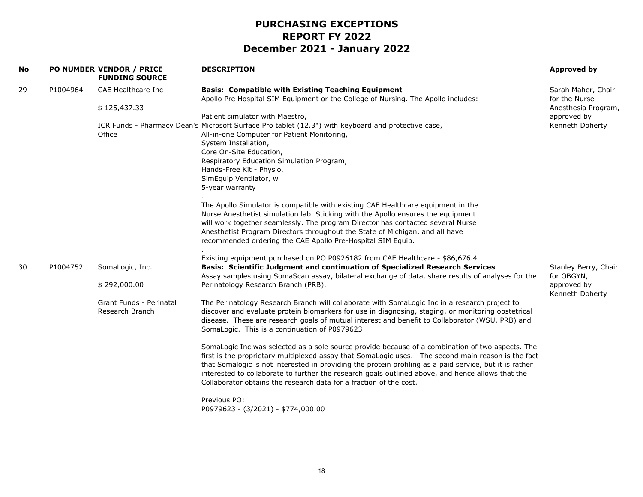| No |          | PO NUMBER VENDOR / PRICE<br><b>FUNDING SOURCE</b> | <b>DESCRIPTION</b>                                                                                                                                                                                                                                                                                                                                                                                                                                                                            | Approved by                         |
|----|----------|---------------------------------------------------|-----------------------------------------------------------------------------------------------------------------------------------------------------------------------------------------------------------------------------------------------------------------------------------------------------------------------------------------------------------------------------------------------------------------------------------------------------------------------------------------------|-------------------------------------|
| 29 | P1004964 | CAE Healthcare Inc                                | <b>Basis: Compatible with Existing Teaching Equipment</b><br>Apollo Pre Hospital SIM Equipment or the College of Nursing. The Apollo includes:                                                                                                                                                                                                                                                                                                                                                | Sarah Maher, Chair<br>for the Nurse |
|    |          | \$125,437.33                                      |                                                                                                                                                                                                                                                                                                                                                                                                                                                                                               | Anesthesia Program,                 |
|    |          |                                                   | Patient simulator with Maestro,                                                                                                                                                                                                                                                                                                                                                                                                                                                               | approved by                         |
|    |          | Office                                            | ICR Funds - Pharmacy Dean's Microsoft Surface Pro tablet (12.3") with keyboard and protective case,<br>All-in-one Computer for Patient Monitoring,<br>System Installation,<br>Core On-Site Education,<br>Respiratory Education Simulation Program,<br>Hands-Free Kit - Physio,<br>SimEquip Ventilator, w<br>5-year warranty                                                                                                                                                                   | Kenneth Doherty                     |
|    |          |                                                   | The Apollo Simulator is compatible with existing CAE Healthcare equipment in the<br>Nurse Anesthetist simulation lab. Sticking with the Apollo ensures the equipment<br>will work together seamlessly. The program Director has contacted several Nurse<br>Anesthetist Program Directors throughout the State of Michigan, and all have<br>recommended ordering the CAE Apollo Pre-Hospital SIM Equip.                                                                                        |                                     |
|    |          |                                                   | Existing equipment purchased on PO P0926182 from CAE Healthcare - \$86,676.4                                                                                                                                                                                                                                                                                                                                                                                                                  |                                     |
| 30 | P1004752 | SomaLogic, Inc.                                   | Basis: Scientific Judgment and continuation of Specialized Research Services<br>Assay samples using SomaScan assay, bilateral exchange of data, share results of analyses for the                                                                                                                                                                                                                                                                                                             | Stanley Berry, Chair<br>for OBGYN,  |
|    |          | \$292,000.00                                      | Perinatology Research Branch (PRB).                                                                                                                                                                                                                                                                                                                                                                                                                                                           | approved by<br>Kenneth Doherty      |
|    |          | Grant Funds - Perinatal<br>Research Branch        | The Perinatology Research Branch will collaborate with SomaLogic Inc in a research project to<br>discover and evaluate protein biomarkers for use in diagnosing, staging, or monitoring obstetrical<br>disease. These are research goals of mutual interest and benefit to Collaborator (WSU, PRB) and<br>SomaLogic. This is a continuation of P0979623                                                                                                                                       |                                     |
|    |          |                                                   | SomaLogic Inc was selected as a sole source provide because of a combination of two aspects. The<br>first is the proprietary multiplexed assay that SomaLogic uses.  The second main reason is the fact<br>that Somalogic is not interested in providing the protein profiling as a paid service, but it is rather<br>interested to collaborate to further the research goals outlined above, and hence allows that the<br>Collaborator obtains the research data for a fraction of the cost. |                                     |
|    |          |                                                   | Previous PO:<br>P0979623 - (3/2021) - \$774,000.00                                                                                                                                                                                                                                                                                                                                                                                                                                            |                                     |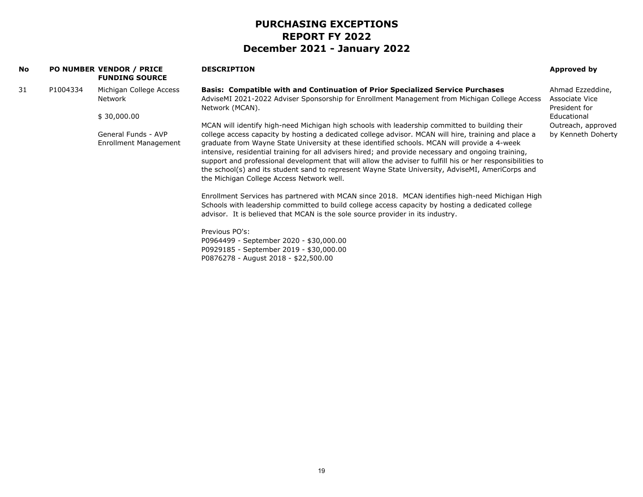| <b>No</b> |                                                                                           | PO NUMBER VENDOR / PRICE<br><b>FUNDING SOURCE</b>                                                                                                                                                                                                                                                                                                                                                                                                                                                                                                                                                                               | <b>DESCRIPTION</b>                                                                                                                                                                                                                                                                     | Approved by                                         |
|-----------|-------------------------------------------------------------------------------------------|---------------------------------------------------------------------------------------------------------------------------------------------------------------------------------------------------------------------------------------------------------------------------------------------------------------------------------------------------------------------------------------------------------------------------------------------------------------------------------------------------------------------------------------------------------------------------------------------------------------------------------|----------------------------------------------------------------------------------------------------------------------------------------------------------------------------------------------------------------------------------------------------------------------------------------|-----------------------------------------------------|
| 31        | P1004334                                                                                  | Michigan College Access<br>Network                                                                                                                                                                                                                                                                                                                                                                                                                                                                                                                                                                                              | Basis: Compatible with and Continuation of Prior Specialized Service Purchases<br>AdviseMI 2021-2022 Adviser Sponsorship for Enrollment Management from Michigan College Access<br>Network (MCAN).                                                                                     | Ahmad Ezzeddine,<br>Associate Vice<br>President for |
|           |                                                                                           | \$30,000.00                                                                                                                                                                                                                                                                                                                                                                                                                                                                                                                                                                                                                     |                                                                                                                                                                                                                                                                                        | Educational                                         |
|           | General Funds - AVP<br>Enrollment Management<br>the Michigan College Access Network well. | MCAN will identify high-need Michigan high schools with leadership committed to building their<br>college access capacity by hosting a dedicated college advisor. MCAN will hire, training and place a<br>graduate from Wayne State University at these identified schools. MCAN will provide a 4-week<br>intensive, residential training for all advisers hired; and provide necessary and ongoing training,<br>support and professional development that will allow the adviser to fulfill his or her responsibilities to<br>the school(s) and its student sand to represent Wayne State University, AdviseMI, AmeriCorps and | Outreach, approved<br>by Kenneth Doherty                                                                                                                                                                                                                                               |                                                     |
|           |                                                                                           |                                                                                                                                                                                                                                                                                                                                                                                                                                                                                                                                                                                                                                 | Enrollment Services has partnered with MCAN since 2018. MCAN identifies high-need Michigan High<br>Schools with leadership committed to build college access capacity by hosting a dedicated college<br>advisor. It is believed that MCAN is the sole source provider in its industry. |                                                     |
|           |                                                                                           |                                                                                                                                                                                                                                                                                                                                                                                                                                                                                                                                                                                                                                 | Previous PO's:<br>P0964499 - September 2020 - \$30,000.00<br>P0929185 - September 2019 - \$30,000.00<br>P0876278 - August 2018 - \$22,500.00                                                                                                                                           |                                                     |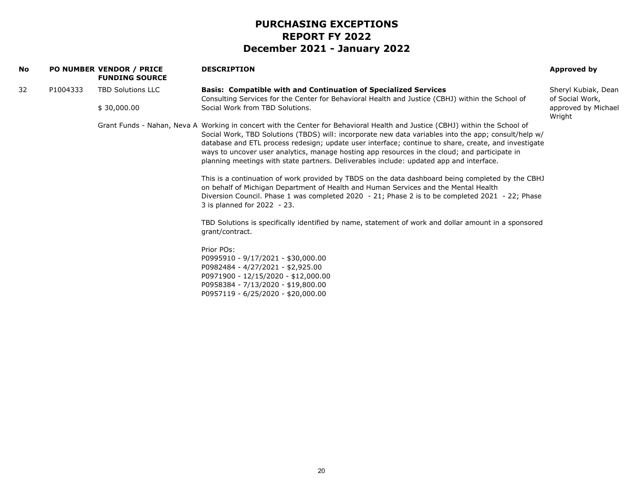| No. |          | PO NUMBER VENDOR / PRICE<br><b>FUNDING SOURCE</b> | <b>DESCRIPTION</b>                                                                                                                                                                                                                                                                                                                                                                                                                                                                                                                                                                                                                                                                                                                                                                                                                                                                                                                                                                                                                                                                                                                                                                                            | Approved by                            |
|-----|----------|---------------------------------------------------|---------------------------------------------------------------------------------------------------------------------------------------------------------------------------------------------------------------------------------------------------------------------------------------------------------------------------------------------------------------------------------------------------------------------------------------------------------------------------------------------------------------------------------------------------------------------------------------------------------------------------------------------------------------------------------------------------------------------------------------------------------------------------------------------------------------------------------------------------------------------------------------------------------------------------------------------------------------------------------------------------------------------------------------------------------------------------------------------------------------------------------------------------------------------------------------------------------------|----------------------------------------|
| 32  | P1004333 | <b>TBD Solutions LLC</b>                          | <b>Basis: Compatible with and Continuation of Specialized Services</b><br>Consulting Services for the Center for Behavioral Health and Justice (CBHJ) within the School of                                                                                                                                                                                                                                                                                                                                                                                                                                                                                                                                                                                                                                                                                                                                                                                                                                                                                                                                                                                                                                    | Sheryl Kubiak, Dean<br>of Social Work, |
|     |          | \$30,000.00                                       | Social Work from TBD Solutions.                                                                                                                                                                                                                                                                                                                                                                                                                                                                                                                                                                                                                                                                                                                                                                                                                                                                                                                                                                                                                                                                                                                                                                               | approved by Michael<br>Wright          |
|     |          |                                                   | Grant Funds - Nahan, Neva A Working in concert with the Center for Behavioral Health and Justice (CBHJ) within the School of<br>Social Work, TBD Solutions (TBDS) will: incorporate new data variables into the app; consult/help w/<br>database and ETL process redesign; update user interface; continue to share, create, and investigate<br>ways to uncover user analytics, manage hosting app resources in the cloud; and participate in<br>planning meetings with state partners. Deliverables include: updated app and interface.<br>This is a continuation of work provided by TBDS on the data dashboard being completed by the CBHJ<br>on behalf of Michigan Department of Health and Human Services and the Mental Health<br>Diversion Council. Phase 1 was completed 2020 - 21; Phase 2 is to be completed 2021 - 22; Phase<br>3 is planned for 2022 - 23.<br>TBD Solutions is specifically identified by name, statement of work and dollar amount in a sponsored<br>grant/contract.<br>Prior POs:<br>P0995910 - 9/17/2021 - \$30,000.00<br>P0982484 - 4/27/2021 - \$2,925.00<br>P0971900 - 12/15/2020 - \$12,000.00<br>P0958384 - 7/13/2020 - \$19,800.00<br>P0957119 - 6/25/2020 - \$20,000.00 |                                        |
|     |          |                                                   |                                                                                                                                                                                                                                                                                                                                                                                                                                                                                                                                                                                                                                                                                                                                                                                                                                                                                                                                                                                                                                                                                                                                                                                                               |                                        |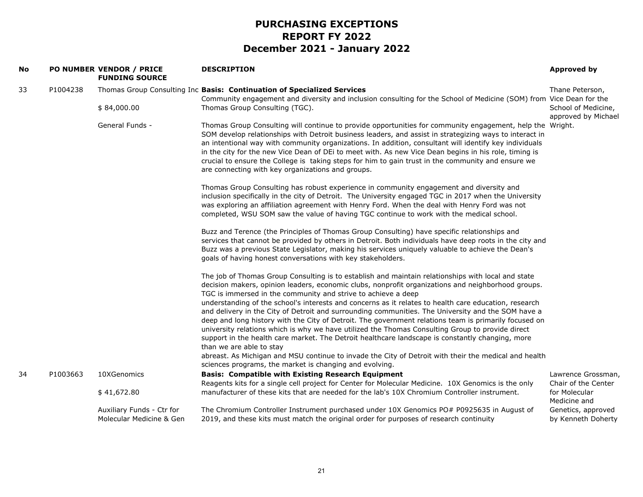| No |          | PO NUMBER VENDOR / PRICE<br><b>FUNDING SOURCE</b>     | <b>DESCRIPTION</b>                                                                                                                                                                                                                                                                                                                                                                                                                                                                                                                                                                                                                                                                                                                                                                                                                                                                                                                                                                                        | Approved by                                |
|----|----------|-------------------------------------------------------|-----------------------------------------------------------------------------------------------------------------------------------------------------------------------------------------------------------------------------------------------------------------------------------------------------------------------------------------------------------------------------------------------------------------------------------------------------------------------------------------------------------------------------------------------------------------------------------------------------------------------------------------------------------------------------------------------------------------------------------------------------------------------------------------------------------------------------------------------------------------------------------------------------------------------------------------------------------------------------------------------------------|--------------------------------------------|
| 33 | P1004238 |                                                       | Thomas Group Consulting Inc Basis: Continuation of Specialized Services<br>Community engagement and diversity and inclusion consulting for the School of Medicine (SOM) from Vice Dean for the                                                                                                                                                                                                                                                                                                                                                                                                                                                                                                                                                                                                                                                                                                                                                                                                            | Thane Peterson,                            |
|    |          | \$84,000.00                                           | Thomas Group Consulting (TGC).                                                                                                                                                                                                                                                                                                                                                                                                                                                                                                                                                                                                                                                                                                                                                                                                                                                                                                                                                                            | School of Medicine,<br>approved by Michael |
|    |          | General Funds -                                       | Thomas Group Consulting will continue to provide opportunities for community engagement, help the Wright.<br>SOM develop relationships with Detroit business leaders, and assist in strategizing ways to interact in<br>an intentional way with community organizations. In addition, consultant will identify key individuals<br>in the city for the new Vice Dean of DEi to meet with. As new Vice Dean begins in his role, timing is<br>crucial to ensure the College is taking steps for him to gain trust in the community and ensure we<br>are connecting with key organizations and groups.                                                                                                                                                                                                                                                                                                                                                                                                        |                                            |
|    |          |                                                       | Thomas Group Consulting has robust experience in community engagement and diversity and<br>inclusion specifically in the city of Detroit. The University engaged TGC in 2017 when the University<br>was exploring an affiliation agreement with Henry Ford. When the deal with Henry Ford was not<br>completed, WSU SOM saw the value of having TGC continue to work with the medical school.                                                                                                                                                                                                                                                                                                                                                                                                                                                                                                                                                                                                             |                                            |
|    |          |                                                       | Buzz and Terence (the Principles of Thomas Group Consulting) have specific relationships and<br>services that cannot be provided by others in Detroit. Both individuals have deep roots in the city and<br>Buzz was a previous State Legislator, making his services uniquely valuable to achieve the Dean's<br>goals of having honest conversations with key stakeholders.                                                                                                                                                                                                                                                                                                                                                                                                                                                                                                                                                                                                                               |                                            |
|    |          |                                                       | The job of Thomas Group Consulting is to establish and maintain relationships with local and state<br>decision makers, opinion leaders, economic clubs, nonprofit organizations and neighborhood groups.<br>TGC is immersed in the community and strive to achieve a deep<br>understanding of the school's interests and concerns as it relates to health care education, research<br>and delivery in the City of Detroit and surrounding communities. The University and the SOM have a<br>deep and long history with the City of Detroit. The government relations team is primarily focused on<br>university relations which is why we have utilized the Thomas Consulting Group to provide direct<br>support in the health care market. The Detroit healthcare landscape is constantly changing, more<br>than we are able to stay<br>abreast. As Michigan and MSU continue to invade the City of Detroit with their the medical and health<br>sciences programs, the market is changing and evolving. |                                            |
| 34 | P1003663 | 10XGenomics                                           | <b>Basis: Compatible with Existing Research Equipment</b><br>Reagents kits for a single cell project for Center for Molecular Medicine. 10X Genomics is the only                                                                                                                                                                                                                                                                                                                                                                                                                                                                                                                                                                                                                                                                                                                                                                                                                                          | Lawrence Grossman,<br>Chair of the Center  |
|    |          | \$41,672.80                                           | manufacturer of these kits that are needed for the lab's 10X Chromium Controller instrument.                                                                                                                                                                                                                                                                                                                                                                                                                                                                                                                                                                                                                                                                                                                                                                                                                                                                                                              | for Molecular<br>Medicine and              |
|    |          | Auxiliary Funds - Ctr for<br>Molecular Medicine & Gen | The Chromium Controller Instrument purchased under 10X Genomics PO# P0925635 in August of<br>2019, and these kits must match the original order for purposes of research continuity                                                                                                                                                                                                                                                                                                                                                                                                                                                                                                                                                                                                                                                                                                                                                                                                                       | Genetics, approved<br>by Kenneth Doherty   |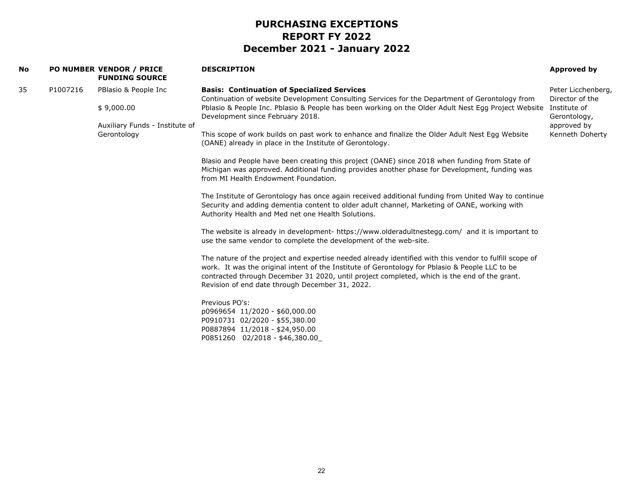| No |          | <b>PO NUMBER VENDOR / PRICE</b><br><b>FUNDING SOURCE</b>                            | <b>DESCRIPTION</b>                                                                                                                                                                                                                                                                                                                                                                                                                                                                                                                                                                                                                                                                                                                                                                                                                                                                                                                                                                                                                                                                                                                                                                                                                                                                                                                                                                                                                                                                                                                                                                                                                                                       | <b>Approved by</b>                                                                                      |
|----|----------|-------------------------------------------------------------------------------------|--------------------------------------------------------------------------------------------------------------------------------------------------------------------------------------------------------------------------------------------------------------------------------------------------------------------------------------------------------------------------------------------------------------------------------------------------------------------------------------------------------------------------------------------------------------------------------------------------------------------------------------------------------------------------------------------------------------------------------------------------------------------------------------------------------------------------------------------------------------------------------------------------------------------------------------------------------------------------------------------------------------------------------------------------------------------------------------------------------------------------------------------------------------------------------------------------------------------------------------------------------------------------------------------------------------------------------------------------------------------------------------------------------------------------------------------------------------------------------------------------------------------------------------------------------------------------------------------------------------------------------------------------------------------------|---------------------------------------------------------------------------------------------------------|
| 35 | P1007216 | PBlasio & People Inc<br>\$9,000.00<br>Auxiliary Funds - Institute of<br>Gerontology | <b>Basis: Continuation of Specialized Services</b><br>Continuation of website Development Consulting Services for the Department of Gerontology from<br>Pblasio & People Inc. Pblasio & People has been working on the Older Adult Nest Egg Project Website<br>Development since February 2018.<br>This scope of work builds on past work to enhance and finalize the Older Adult Nest Egg Website<br>(OANE) already in place in the Institute of Gerontology.<br>Blasio and People have been creating this project (OANE) since 2018 when funding from State of<br>Michigan was approved. Additional funding provides another phase for Development, funding was<br>from MI Health Endowment Foundation.<br>The Institute of Gerontology has once again received additional funding from United Way to continue<br>Security and adding dementia content to older adult channel, Marketing of OANE, working with<br>Authority Health and Med net one Health Solutions.<br>The website is already in development- https://www.olderadultnestegg.com/ and it is important to<br>use the same vendor to complete the development of the web-site.<br>The nature of the project and expertise needed already identified with this vendor to fulfill scope of<br>work. It was the original intent of the Institute of Gerontology for Pblasio & People LLC to be<br>contracted through December 31 2020, until project completed, which is the end of the grant.<br>Revision of end date through December 31, 2022.<br>Previous PO's:<br>p0969654 11/2020 - \$60,000.00<br>P0910731 02/2020 - \$55,380.00<br>P0887894 11/2018 - \$24,950.00<br>P0851260 02/2018 - \$46,380.00 | Peter Licchenberg,<br>Director of the<br>Institute of<br>Gerontology,<br>approved by<br>Kenneth Doherty |
|    |          |                                                                                     |                                                                                                                                                                                                                                                                                                                                                                                                                                                                                                                                                                                                                                                                                                                                                                                                                                                                                                                                                                                                                                                                                                                                                                                                                                                                                                                                                                                                                                                                                                                                                                                                                                                                          |                                                                                                         |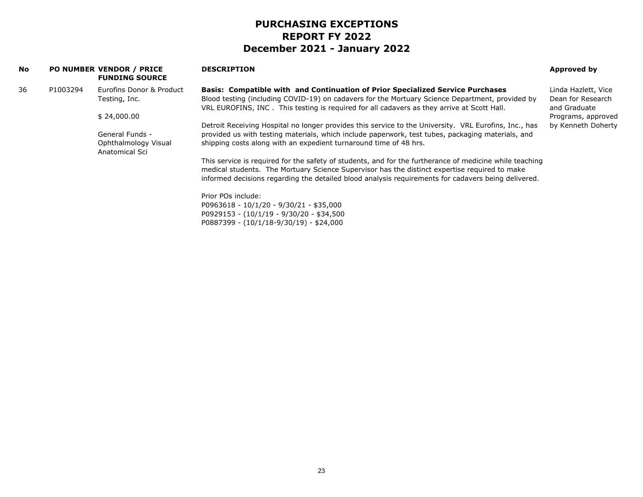| <b>No</b> |          | <b>PO NUMBER VENDOR / PRICE</b><br><b>FUNDING SOURCE</b>                                                    | <b>DESCRIPTION</b>                                                                                                                                                                            | Approved by                       |
|-----------|----------|-------------------------------------------------------------------------------------------------------------|-----------------------------------------------------------------------------------------------------------------------------------------------------------------------------------------------|-----------------------------------|
| 36        | P1003294 | Eurofins Donor & Product                                                                                    | Basis: Compatible with and Continuation of Prior Specialized Service Purchases                                                                                                                | Linda Hazlett, Vice               |
|           |          | Testing, Inc.                                                                                               | Blood testing (including COVID-19) on cadavers for the Mortuary Science Department, provided by<br>VRL EUROFINS, INC. This testing is required for all cadavers as they arrive at Scott Hall. | Dean for Research<br>and Graduate |
|           |          | \$24,000.00                                                                                                 |                                                                                                                                                                                               | Programs, approved                |
|           |          |                                                                                                             | Detroit Receiving Hospital no longer provides this service to the University. VRL Eurofins, Inc., has                                                                                         | by Kenneth Doherty                |
|           |          | General Funds -                                                                                             | provided us with testing materials, which include paperwork, test tubes, packaging materials, and                                                                                             |                                   |
|           |          | shipping costs along with an expedient turnaround time of 48 hrs.<br>Ophthalmology Visual<br>Anatomical Sci |                                                                                                                                                                                               |                                   |
|           |          |                                                                                                             | This service is required for the safety of students, and for the furtherance of medicine while teaching                                                                                       |                                   |
|           |          |                                                                                                             | medical students. The Mortuary Science Supervisor has the distinct expertise required to make                                                                                                 |                                   |
|           |          |                                                                                                             | informed decisions regarding the detailed blood analysis requirements for cadavers being delivered.                                                                                           |                                   |
|           |          |                                                                                                             | Prior POs include:                                                                                                                                                                            |                                   |
|           |          |                                                                                                             | P0963618 - 10/1/20 - 9/30/21 - \$35,000                                                                                                                                                       |                                   |
|           |          |                                                                                                             | P0929153 - (10/1/19 - 9/30/20 - \$34,500                                                                                                                                                      |                                   |
|           |          |                                                                                                             | $P0887399 - (10/1/18-9/30/19) - $24,000$                                                                                                                                                      |                                   |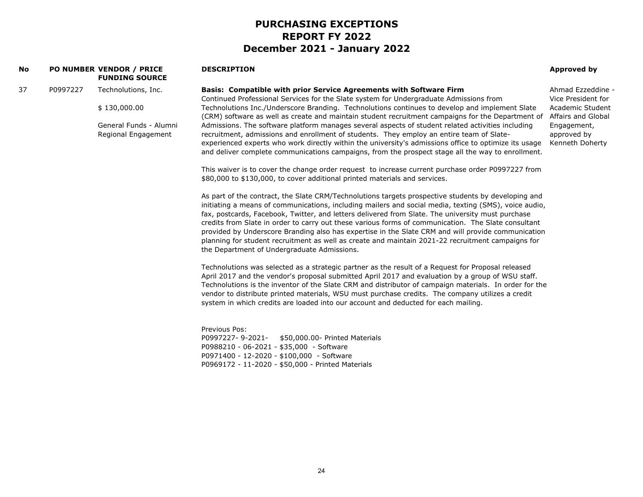**Basis: Compatible with prior Service Agreements with Software Firm**

#### **No PO NUMBER VENDOR / PRICE FUNDING SOURCE**

#### **DESCRIPTION**

#### **Approved by**

Ahmad Ezzeddine -

37 P0997227 Technolutions, Inc.

\$ 130,000.00

General Funds - Alumni Regional Engagement

Continued Professional Services for the Slate system for Undergraduate Admissions from Technolutions Inc./Underscore Branding. Technolutions continues to develop and implement Slate (CRM) software as well as create and maintain student recruitment campaigns for the Department of Admissions. The software platform manages several aspects of student related activities including recruitment, admissions and enrollment of students. They employ an entire team of Slateexperienced experts who work directly within the university's admissions office to optimize its usage and deliver complete communications campaigns, from the prospect stage all the way to enrollment. Vice President for Academic Student Affairs and Global Engagement, approved by Kenneth Doherty

This waiver is to cover the change order request to increase current purchase order P0997227 from \$80,000 to \$130,000, to cover additional printed materials and services.

As part of the contract, the Slate CRM/Technolutions targets prospective students by developing and initiating a means of communications, including mailers and social media, texting (SMS), voice audio, fax, postcards, Facebook, Twitter, and letters delivered from Slate. The university must purchase credits from Slate in order to carry out these various forms of communication. The Slate consultant provided by Underscore Branding also has expertise in the Slate CRM and will provide communication planning for student recruitment as well as create and maintain 2021-22 recruitment campaigns for the Department of Undergraduate Admissions.

Technolutions was selected as a strategic partner as the result of a Request for Proposal released April 2017 and the vendor's proposal submitted April 2017 and evaluation by a group of WSU staff. Technolutions is the inventor of the Slate CRM and distributor of campaign materials. In order for the vendor to distribute printed materials, WSU must purchase credits. The company utilizes a credit system in which credits are loaded into our account and deducted for each mailing.

Previous Pos:P0997227- 9-2021- \$50,000.00- Printed Materials P0988210 - 06-2021 - \$35,000 - Software P0971400 - 12-2020 - \$100,000 - Software P0969172 - 11-2020 - \$50,000 - Printed Materials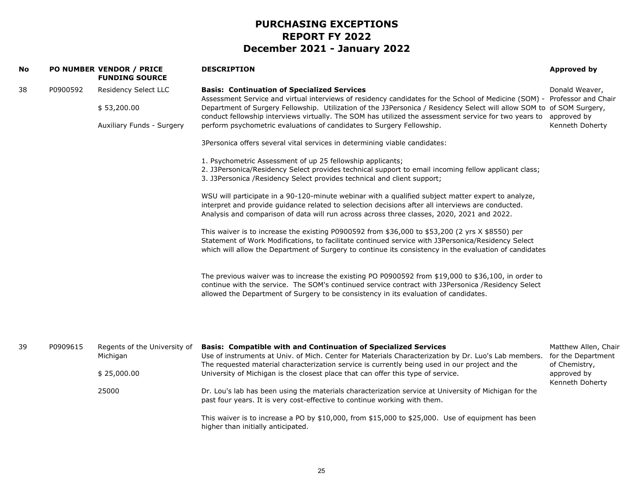| <b>No</b> |          | PO NUMBER VENDOR / PRICE<br><b>FUNDING SOURCE</b>                | <b>DESCRIPTION</b>                                                                                                                                                                                                                                                                                                                                                                                                                                                                                    | <b>Approved by</b>                                          |
|-----------|----------|------------------------------------------------------------------|-------------------------------------------------------------------------------------------------------------------------------------------------------------------------------------------------------------------------------------------------------------------------------------------------------------------------------------------------------------------------------------------------------------------------------------------------------------------------------------------------------|-------------------------------------------------------------|
| 38        | P0900592 | Residency Select LLC<br>\$53,200.00<br>Auxiliary Funds - Surgery | <b>Basis: Continuation of Specialized Services</b><br>Assessment Service and virtual interviews of residency candidates for the School of Medicine (SOM) - Professor and Chair<br>Department of Surgery Fellowship. Utilization of the J3Personica / Residency Select will allow SOM to of SOM Surgery,<br>conduct fellowship interviews virtually. The SOM has utilized the assessment service for two years to approved by<br>perform psychometric evaluations of candidates to Surgery Fellowship. | Donald Weaver,<br>Kenneth Doherty                           |
|           |          |                                                                  | 3Personica offers several vital services in determining viable candidates:                                                                                                                                                                                                                                                                                                                                                                                                                            |                                                             |
|           |          |                                                                  | 1. Psychometric Assessment of up 25 fellowship applicants;<br>2. J3Personica/Residency Select provides technical support to email incoming fellow applicant class;<br>3. J3Personica /Residency Select provides technical and client support;                                                                                                                                                                                                                                                         |                                                             |
|           |          |                                                                  | WSU will participate in a 90-120-minute webinar with a qualified subject matter expert to analyze,<br>interpret and provide guidance related to selection decisions after all interviews are conducted.<br>Analysis and comparison of data will run across across three classes, 2020, 2021 and 2022.                                                                                                                                                                                                 |                                                             |
|           |          |                                                                  | This waiver is to increase the existing P0900592 from \$36,000 to \$53,200 (2 yrs $X$ \$8550) per<br>Statement of Work Modifications, to facilitate continued service with J3Personica/Residency Select<br>which will allow the Department of Surgery to continue its consistency in the evaluation of candidates                                                                                                                                                                                     |                                                             |
|           |          |                                                                  | The previous waiver was to increase the existing PO P0900592 from \$19,000 to \$36,100, in order to<br>continue with the service. The SOM's continued service contract with J3Personica /Residency Select<br>allowed the Department of Surgery to be consistency in its evaluation of candidates.                                                                                                                                                                                                     |                                                             |
|           |          |                                                                  |                                                                                                                                                                                                                                                                                                                                                                                                                                                                                                       |                                                             |
| 39        | P0909615 | Regents of the University of<br>Michigan                         | <b>Basis: Compatible with and Continuation of Specialized Services</b><br>Use of instruments at Univ. of Mich. Center for Materials Characterization by Dr. Luo's Lab members.<br>The requested material characterization service is currently being used in our project and the                                                                                                                                                                                                                      | Matthew Allen, Chair<br>for the Department<br>of Chemistry, |
|           |          | \$25,000.00                                                      | University of Michigan is the closest place that can offer this type of service.                                                                                                                                                                                                                                                                                                                                                                                                                      | approved by<br>Kenneth Doherty                              |
|           |          | 25000                                                            | Dr. Lou's lab has been using the materials characterization service at University of Michigan for the<br>past four years. It is very cost-effective to continue working with them.                                                                                                                                                                                                                                                                                                                    |                                                             |
|           |          |                                                                  | This waiver is to increase a PO by \$10,000, from \$15,000 to \$25,000. Use of equipment has been<br>higher than initially anticipated.                                                                                                                                                                                                                                                                                                                                                               |                                                             |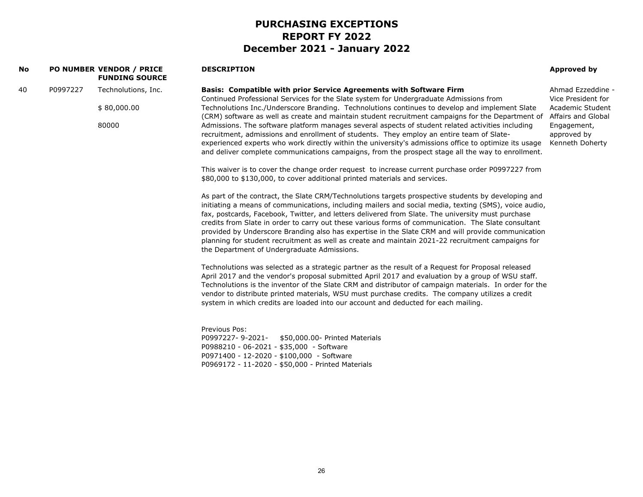| No |          | PO NUMBER VENDOR / PRICE<br><b>FUNDING SOURCE</b> | <b>DESCRIPTION</b>                                                                                                                                                                                                                                                                                                                                                                                                                                                                                                                                                                                                                                                                 | <b>Approved by</b>                            |
|----|----------|---------------------------------------------------|------------------------------------------------------------------------------------------------------------------------------------------------------------------------------------------------------------------------------------------------------------------------------------------------------------------------------------------------------------------------------------------------------------------------------------------------------------------------------------------------------------------------------------------------------------------------------------------------------------------------------------------------------------------------------------|-----------------------------------------------|
| 40 | P0997227 | Technolutions, Inc.                               | Basis: Compatible with prior Service Agreements with Software Firm<br>Continued Professional Services for the Slate system for Undergraduate Admissions from                                                                                                                                                                                                                                                                                                                                                                                                                                                                                                                       | Ahmad Ezzeddine -<br>Vice President for       |
|    |          | \$80,000.00                                       | Technolutions Inc./Underscore Branding. Technolutions continues to develop and implement Slate<br>(CRM) software as well as create and maintain student recruitment campaigns for the Department of                                                                                                                                                                                                                                                                                                                                                                                                                                                                                | Academic Student<br>Affairs and Global        |
|    |          | 80000                                             | Admissions. The software platform manages several aspects of student related activities including<br>recruitment, admissions and enrollment of students. They employ an entire team of Slate-<br>experienced experts who work directly within the university's admissions office to optimize its usage<br>and deliver complete communications campaigns, from the prospect stage all the way to enrollment.                                                                                                                                                                                                                                                                        | Engagement,<br>approved by<br>Kenneth Doherty |
|    |          |                                                   | This waiver is to cover the change order request to increase current purchase order P0997227 from<br>\$80,000 to \$130,000, to cover additional printed materials and services.                                                                                                                                                                                                                                                                                                                                                                                                                                                                                                    |                                               |
|    |          |                                                   | As part of the contract, the Slate CRM/Technolutions targets prospective students by developing and<br>initiating a means of communications, including mailers and social media, texting (SMS), voice audio,<br>fax, postcards, Facebook, Twitter, and letters delivered from Slate. The university must purchase<br>credits from Slate in order to carry out these various forms of communication. The Slate consultant<br>provided by Underscore Branding also has expertise in the Slate CRM and will provide communication<br>planning for student recruitment as well as create and maintain 2021-22 recruitment campaigns for<br>the Department of Undergraduate Admissions. |                                               |
|    |          |                                                   | Technolutions was selected as a strategic partner as the result of a Request for Proposal released<br>April 2017 and the vendor's proposal submitted April 2017 and evaluation by a group of WSU staff.<br>Technolutions is the inventor of the Slate CRM and distributor of campaign materials. In order for the<br>vendor to distribute printed materials, WSU must purchase credits. The company utilizes a credit<br>system in which credits are loaded into our account and deducted for each mailing.                                                                                                                                                                        |                                               |
|    |          |                                                   | Previous Pos:<br>P0997227-9-2021-<br>\$50,000.00- Printed Materials<br>P0988210 - 06-2021 - \$35,000 - Software<br>P0971400 - 12-2020 - \$100,000 - Software<br>P0969172 - 11-2020 - \$50,000 - Printed Materials                                                                                                                                                                                                                                                                                                                                                                                                                                                                  |                                               |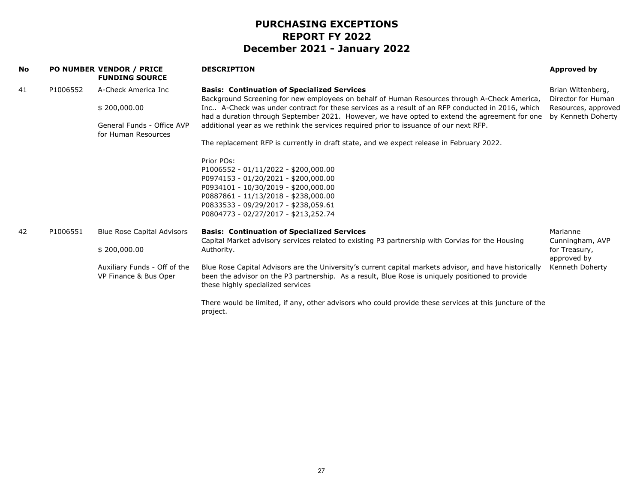| No |          | <b>PO NUMBER VENDOR / PRICE</b><br><b>FUNDING SOURCE</b>                                                   | <b>DESCRIPTION</b>                                                                                                                                                                                                                                                                                                                                                                                                                                                                                                                            | Approved by                                                                          |
|----|----------|------------------------------------------------------------------------------------------------------------|-----------------------------------------------------------------------------------------------------------------------------------------------------------------------------------------------------------------------------------------------------------------------------------------------------------------------------------------------------------------------------------------------------------------------------------------------------------------------------------------------------------------------------------------------|--------------------------------------------------------------------------------------|
| 41 | P1006552 | A-Check America Inc<br>\$200,000.00<br>General Funds - Office AVP<br>for Human Resources                   | <b>Basis: Continuation of Specialized Services</b><br>Background Screening for new employees on behalf of Human Resources through A-Check America,<br>Inc A-Check was under contract for these services as a result of an RFP conducted in 2016, which<br>had a duration through September 2021. However, we have opted to extend the agreement for one<br>additional year as we rethink the services required prior to issuance of our next RFP.<br>The replacement RFP is currently in draft state, and we expect release in February 2022. | Brian Wittenberg,<br>Director for Human<br>Resources, approved<br>by Kenneth Doherty |
|    |          |                                                                                                            | Prior POs:<br>P1006552 - 01/11/2022 - \$200,000.00<br>P0974153 - 01/20/2021 - \$200,000.00<br>P0934101 - 10/30/2019 - \$200,000.00<br>P0887861 - 11/13/2018 - \$238,000.00<br>P0833533 - 09/29/2017 - \$238,059.61<br>P0804773 - 02/27/2017 - \$213,252.74                                                                                                                                                                                                                                                                                    |                                                                                      |
| 42 | P1006551 | <b>Blue Rose Capital Advisors</b><br>\$200,000.00<br>Auxiliary Funds - Off of the<br>VP Finance & Bus Oper | <b>Basis: Continuation of Specialized Services</b><br>Capital Market advisory services related to existing P3 partnership with Corvias for the Housing<br>Authority.<br>Blue Rose Capital Advisors are the University's current capital markets advisor, and have historically<br>been the advisor on the P3 partnership. As a result, Blue Rose is uniquely positioned to provide<br>these highly specialized services                                                                                                                       | Marianne<br>Cunningham, AVP<br>for Treasury,<br>approved by<br>Kenneth Doherty       |
|    |          |                                                                                                            | There would be limited, if any, other advisors who could provide these services at this juncture of the<br>project.                                                                                                                                                                                                                                                                                                                                                                                                                           |                                                                                      |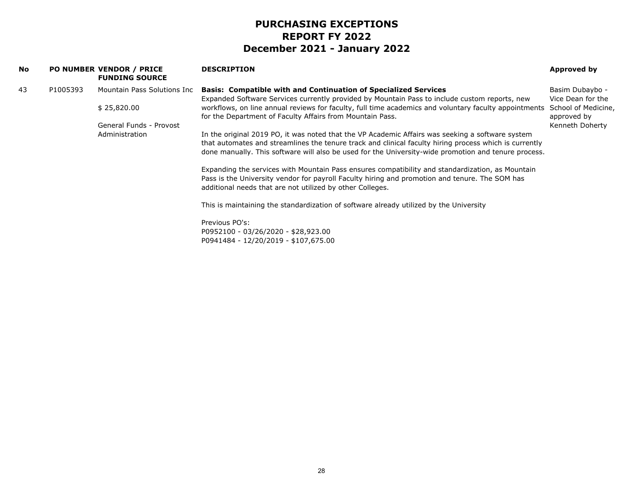|          | <b>FUNDING SOURCE</b>   | <b>DESCRIPTION</b>                                                                                                                                                                                                                                                                                                 | Approved by                          |
|----------|-------------------------|--------------------------------------------------------------------------------------------------------------------------------------------------------------------------------------------------------------------------------------------------------------------------------------------------------------------|--------------------------------------|
| P1005393 |                         | <b>Basis: Compatible with and Continuation of Specialized Services</b><br>Expanded Software Services currently provided by Mountain Pass to include custom reports, new                                                                                                                                            | Basim Dubaybo -<br>Vice Dean for the |
|          | \$25,820.00             | workflows, on line annual reviews for faculty, full time academics and voluntary faculty appointments<br>for the Department of Faculty Affairs from Mountain Pass.                                                                                                                                                 | School of Medicine,<br>approved by   |
|          | General Funds - Provost |                                                                                                                                                                                                                                                                                                                    | Kenneth Doherty                      |
|          | Administration          | In the original 2019 PO, it was noted that the VP Academic Affairs was seeking a software system<br>that automates and streamlines the tenure track and clinical faculty hiring process which is currently<br>done manually. This software will also be used for the University-wide promotion and tenure process. |                                      |
|          |                         | Expanding the services with Mountain Pass ensures compatibility and standardization, as Mountain<br>Pass is the University vendor for payroll Faculty hiring and promotion and tenure. The SOM has<br>additional needs that are not utilized by other Colleges.                                                    |                                      |
|          |                         | This is maintaining the standardization of software already utilized by the University                                                                                                                                                                                                                             |                                      |
|          |                         | Previous PO's:<br>P0952100 - 03/26/2020 - \$28,923.00<br>P0941484 - 12/20/2019 - \$107,675.00                                                                                                                                                                                                                      |                                      |
|          |                         | <b>PO NUMBER VENDOR / PRICE</b><br>Mountain Pass Solutions Inc                                                                                                                                                                                                                                                     |                                      |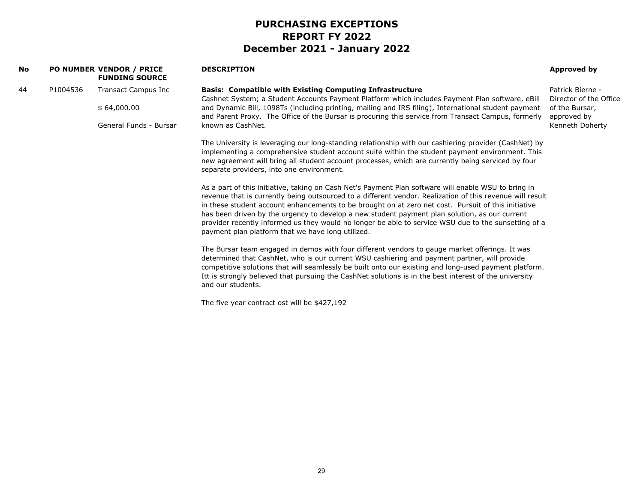| <b>No</b> |          | <b>PO NUMBER VENDOR / PRICE</b><br><b>FUNDING SOURCE</b> | <b>DESCRIPTION</b>                                                                                                                                                                                                                                                                                                                                                                                                                                                                                                                                                                     | Approved by                                |
|-----------|----------|----------------------------------------------------------|----------------------------------------------------------------------------------------------------------------------------------------------------------------------------------------------------------------------------------------------------------------------------------------------------------------------------------------------------------------------------------------------------------------------------------------------------------------------------------------------------------------------------------------------------------------------------------------|--------------------------------------------|
| 44        | P1004536 | <b>Transact Campus Inc</b>                               | <b>Basis: Compatible with Existing Computing Infrastructure</b><br>Cashnet System; a Student Accounts Payment Platform which includes Payment Plan software, eBill                                                                                                                                                                                                                                                                                                                                                                                                                     | Patrick Bierne -<br>Director of the Office |
|           |          | \$64,000.00                                              | and Dynamic Bill, 1098Ts (including printing, mailing and IRS filing), International student payment<br>and Parent Proxy. The Office of the Bursar is procuring this service from Transact Campus, formerly                                                                                                                                                                                                                                                                                                                                                                            | of the Bursar,<br>approved by              |
|           |          | General Funds - Bursar                                   | known as CashNet.                                                                                                                                                                                                                                                                                                                                                                                                                                                                                                                                                                      | Kenneth Doherty                            |
|           |          |                                                          | The University is leveraging our long-standing relationship with our cashiering provider (CashNet) by<br>implementing a comprehensive student account suite within the student payment environment. This<br>new agreement will bring all student account processes, which are currently being serviced by four<br>separate providers, into one environment.                                                                                                                                                                                                                            |                                            |
|           |          |                                                          | As a part of this initiative, taking on Cash Net's Payment Plan software will enable WSU to bring in<br>revenue that is currently being outsourced to a different vendor. Realization of this revenue will result<br>in these student account enhancements to be brought on at zero net cost. Pursuit of this initiative<br>has been driven by the urgency to develop a new student payment plan solution, as our current<br>provider recently informed us they would no longer be able to service WSU due to the sunsetting of a<br>payment plan platform that we have long utilized. |                                            |
|           |          |                                                          | The Bursar team engaged in demos with four different vendors to gauge market offerings. It was<br>determined that CashNet, who is our current WSU cashiering and payment partner, will provide<br>competitive solutions that will seamlessly be built onto our existing and long-used payment platform.<br>Itt is strongly believed that pursuing the CashNet solutions is in the best interest of the university<br>and our students.                                                                                                                                                 |                                            |
|           |          |                                                          | The five year contract ost will be \$427,192                                                                                                                                                                                                                                                                                                                                                                                                                                                                                                                                           |                                            |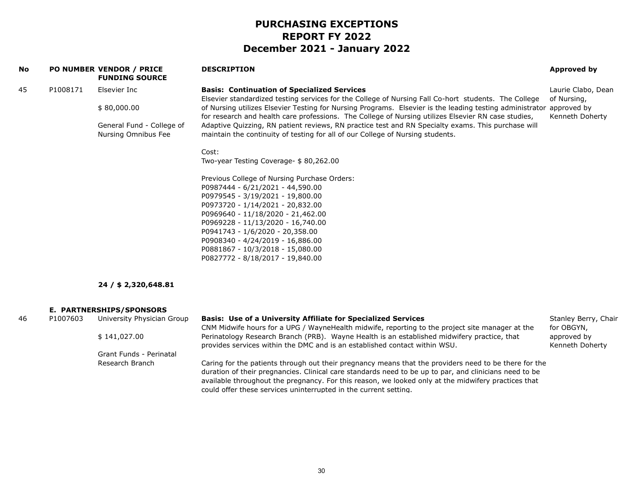| No |          | <b>PO NUMBER VENDOR / PRICE</b><br><b>FUNDING SOURCE</b> | <b>DESCRIPTION</b>                                                                                                                                                                                                          | Approved by                        |
|----|----------|----------------------------------------------------------|-----------------------------------------------------------------------------------------------------------------------------------------------------------------------------------------------------------------------------|------------------------------------|
| 45 | P1008171 | Elsevier Inc                                             | <b>Basis: Continuation of Specialized Services</b><br>Elsevier standardized testing services for the College of Nursing Fall Co-hort students. The College                                                                  | Laurie Clabo, Dean<br>of Nursing,  |
|    |          | \$80,000.00                                              | of Nursing utilizes Elsevier Testing for Nursing Programs. Elsevier is the leading testing administrator approved by<br>for research and health care professions. The College of Nursing utilizes Elsevier RN case studies, | Kenneth Doherty                    |
|    |          | General Fund - College of<br>Nursing Omnibus Fee         | Adaptive Quizzing, RN patient reviews, RN practice test and RN Specialty exams. This purchase will<br>maintain the continuity of testing for all of our College of Nursing students.                                        |                                    |
|    |          |                                                          | Cost:                                                                                                                                                                                                                       |                                    |
|    |          |                                                          | Two-year Testing Coverage- \$80,262.00                                                                                                                                                                                      |                                    |
|    |          |                                                          | Previous College of Nursing Purchase Orders:                                                                                                                                                                                |                                    |
|    |          |                                                          | P0987444 - 6/21/2021 - 44,590.00                                                                                                                                                                                            |                                    |
|    |          |                                                          | P0979545 - 3/19/2021 - 19,800.00<br>P0973720 - 1/14/2021 - 20,832.00                                                                                                                                                        |                                    |
|    |          |                                                          | P0969640 - 11/18/2020 - 21,462.00                                                                                                                                                                                           |                                    |
|    |          |                                                          | P0969228 - 11/13/2020 - 16,740.00                                                                                                                                                                                           |                                    |
|    |          |                                                          | P0941743 - 1/6/2020 - 20,358.00                                                                                                                                                                                             |                                    |
|    |          |                                                          | P0908340 - 4/24/2019 - 16,886.00<br>P0881867 - 10/3/2018 - 15,080.00                                                                                                                                                        |                                    |
|    |          |                                                          | P0827772 - 8/18/2017 - 19,840.00                                                                                                                                                                                            |                                    |
|    |          | 24 / \$ 2,320,648.81                                     |                                                                                                                                                                                                                             |                                    |
|    |          | <b>E. PARTNERSHIPS/SPONSORS</b>                          |                                                                                                                                                                                                                             |                                    |
| 46 | P1007603 | University Physician Group                               | <b>Basis: Use of a University Affiliate for Specialized Services</b><br>CNM Midwife hours for a UPG / WayneHealth midwife, reporting to the project site manager at the                                                     | Stanley Berry, Chair<br>for OBGYN, |

\$ 141,027.00

Grant Funds - Perinatal Research Branch

Caring for the patients through out their pregnancy means that the providers need to be there for the duration of their pregnancies. Clinical care standards need to be up to par, and clinicians need to be available throughout the pregnancy. For this reason, we looked only at the midwifery practices that could offer these services uninterrupted in the current setting.

approved by Kenneth Doherty

Perinatology Research Branch (PRB). Wayne Health is an established midwifery practice, that

provides services within the DMC and is an established contact within WSU.

30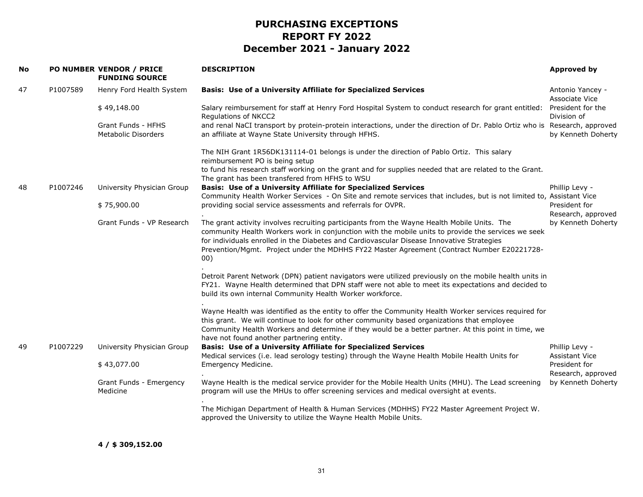| No |          | PO NUMBER VENDOR / PRICE<br><b>FUNDING SOURCE</b> | <b>DESCRIPTION</b>                                                                                                                                                                                                                                                                                                                                                                                  | <b>Approved by</b>                      |
|----|----------|---------------------------------------------------|-----------------------------------------------------------------------------------------------------------------------------------------------------------------------------------------------------------------------------------------------------------------------------------------------------------------------------------------------------------------------------------------------------|-----------------------------------------|
| 47 | P1007589 | Henry Ford Health System                          | <b>Basis: Use of a University Affiliate for Specialized Services</b>                                                                                                                                                                                                                                                                                                                                | Antonio Yancey -<br>Associate Vice      |
|    |          | \$49,148.00                                       | Salary reimbursement for staff at Henry Ford Hospital System to conduct research for grant entitled:<br>Regulations of NKCC2                                                                                                                                                                                                                                                                        | President for the<br>Division of        |
|    |          | Grant Funds - HFHS<br><b>Metabolic Disorders</b>  | and renal NaCI transport by protein-protein interactions, under the direction of Dr. Pablo Ortiz who is Research, approved<br>an affiliate at Wayne State University through HFHS.                                                                                                                                                                                                                  | by Kenneth Doherty                      |
|    |          |                                                   | The NIH Grant 1R56DK131114-01 belongs is under the direction of Pablo Ortiz. This salary<br>reimbursement PO is being setup                                                                                                                                                                                                                                                                         |                                         |
|    |          |                                                   | to fund his research staff working on the grant and for supplies needed that are related to the Grant.<br>The grant has been transfered from HFHS to WSU                                                                                                                                                                                                                                            |                                         |
| 48 | P1007246 | University Physician Group                        | <b>Basis: Use of a University Affiliate for Specialized Services</b><br>Community Health Worker Services - On Site and remote services that includes, but is not limited to, Assistant Vice                                                                                                                                                                                                         | Phillip Levy -                          |
|    |          | \$75,900.00                                       | providing social service assessments and referrals for OVPR.                                                                                                                                                                                                                                                                                                                                        | President for<br>Research, approved     |
|    |          | Grant Funds - VP Research                         | The grant activity involves recruiting participants from the Wayne Health Mobile Units. The<br>community Health Workers work in conjunction with the mobile units to provide the services we seek<br>for individuals enrolled in the Diabetes and Cardiovascular Disease Innovative Strategies<br>Prevention/Mgmt. Project under the MDHHS FY22 Master Agreement (Contract Number E20221728-<br>00) | by Kenneth Doherty                      |
|    |          |                                                   | Detroit Parent Network (DPN) patient navigators were utilized previously on the mobile health units in<br>FY21. Wayne Health determined that DPN staff were not able to meet its expectations and decided to<br>build its own internal Community Health Worker workforce.                                                                                                                           |                                         |
|    |          |                                                   | Wayne Health was identified as the entity to offer the Community Health Worker services required for<br>this grant. We will continue to look for other community based organizations that employee<br>Community Health Workers and determine if they would be a better partner. At this point in time, we<br>have not found another partnering entity.                                              |                                         |
| 49 | P1007229 | University Physician Group                        | <b>Basis: Use of a University Affiliate for Specialized Services</b><br>Medical services (i.e. lead serology testing) through the Wayne Health Mobile Health Units for                                                                                                                                                                                                                              | Phillip Levy -<br><b>Assistant Vice</b> |
|    |          | \$43,077.00                                       | Emergency Medicine.                                                                                                                                                                                                                                                                                                                                                                                 | President for<br>Research, approved     |
|    |          | Grant Funds - Emergency<br>Medicine               | Wayne Health is the medical service provider for the Mobile Health Units (MHU). The Lead screening<br>program will use the MHUs to offer screening services and medical oversight at events.                                                                                                                                                                                                        | by Kenneth Doherty                      |
|    |          |                                                   | The Michigan Department of Health & Human Services (MDHHS) FY22 Master Agreement Project W.<br>approved the University to utilize the Wayne Health Mobile Units.                                                                                                                                                                                                                                    |                                         |
|    |          |                                                   |                                                                                                                                                                                                                                                                                                                                                                                                     |                                         |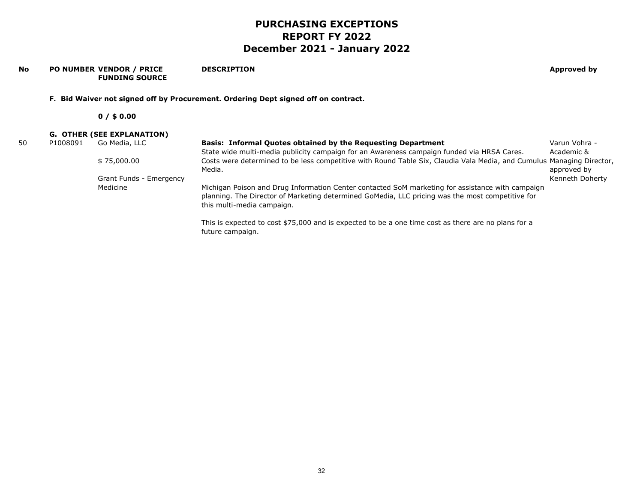#### **No PO NUMBER VENDOR / PRICE FUNDING SOURCEDESCRIPTION Approved by F. Bid Waiver not signed off by Procurement. Ordering Dept signed off on contract. 0 / \$ 0.00 G. OTHER (SEE EXPLANATION)** 50 P1008091 Go Media, LLC \$ 75,000.00 Grant Funds - Emergency Medicine**Basis: Informal Quotes obtained by the Requesting Department** State wide multi-media publicity campaign for an Awareness campaign funded via HRSA Cares. Costs were determined to be less competitive with Round Table Six, Claudia Vala Media, and Cumulus Managing Director, Media. Michigan Poison and Drug Information Center contacted SoM marketing for assistance with campaign planning. The Director of Marketing determined GoMedia, LLC pricing was the most competitive for this multi-media campaign. This is expected to cost \$75,000 and is expected to be a one time cost as there are no plans for a Varun Vohra - Academic & approved by Kenneth Doherty

future campaign.

32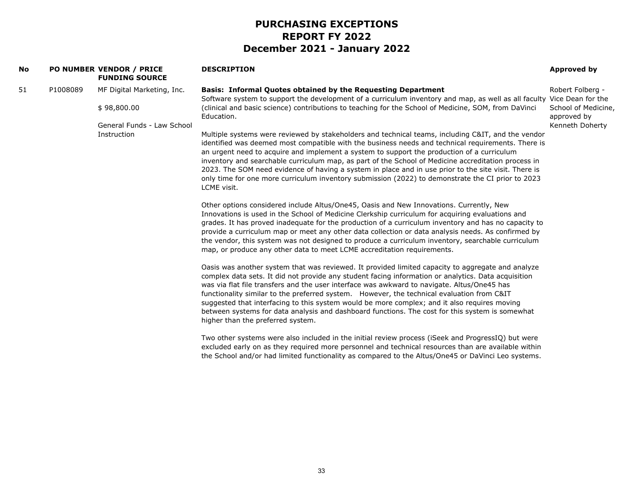| No |          | PO NUMBER VENDOR / PRICE<br><b>FUNDING SOURCE</b>                       | <b>DESCRIPTION</b>                                                                                                                                                                                                                                                                                                                                                                                                                                                                                                                                                                                                                            | Approved by                                                               |
|----|----------|-------------------------------------------------------------------------|-----------------------------------------------------------------------------------------------------------------------------------------------------------------------------------------------------------------------------------------------------------------------------------------------------------------------------------------------------------------------------------------------------------------------------------------------------------------------------------------------------------------------------------------------------------------------------------------------------------------------------------------------|---------------------------------------------------------------------------|
| 51 | P1008089 | MF Digital Marketing, Inc.<br>\$98,800.00<br>General Funds - Law School | <b>Basis: Informal Quotes obtained by the Requesting Department</b><br>Software system to support the development of a curriculum inventory and map, as well as all faculty Vice Dean for the<br>(clinical and basic science) contributions to teaching for the School of Medicine, SOM, from DaVinci<br>Education.                                                                                                                                                                                                                                                                                                                           | Robert Folberg -<br>School of Medicine,<br>approved by<br>Kenneth Doherty |
|    |          | Instruction                                                             | Multiple systems were reviewed by stakeholders and technical teams, including C&IT, and the vendor<br>identified was deemed most compatible with the business needs and technical requirements. There is<br>an urgent need to acquire and implement a system to support the production of a curriculum<br>inventory and searchable curriculum map, as part of the School of Medicine accreditation process in<br>2023. The SOM need evidence of having a system in place and in use prior to the site visit. There is<br>only time for one more curriculum inventory submission (2022) to demonstrate the CI prior to 2023<br>LCME visit.     |                                                                           |
|    |          |                                                                         | Other options considered include Altus/One45, Oasis and New Innovations. Currently, New<br>Innovations is used in the School of Medicine Clerkship curriculum for acquiring evaluations and<br>grades. It has proved inadequate for the production of a curriculum inventory and has no capacity to<br>provide a curriculum map or meet any other data collection or data analysis needs. As confirmed by<br>the vendor, this system was not designed to produce a curriculum inventory, searchable curriculum<br>map, or produce any other data to meet LCME accreditation requirements.                                                     |                                                                           |
|    |          |                                                                         | Oasis was another system that was reviewed. It provided limited capacity to aggregate and analyze<br>complex data sets. It did not provide any student facing information or analytics. Data acquisition<br>was via flat file transfers and the user interface was awkward to navigate. Altus/One45 has<br>functionality similar to the preferred system. However, the technical evaluation from C&IT<br>suggested that interfacing to this system would be more complex; and it also requires moving<br>between systems for data analysis and dashboard functions. The cost for this system is somewhat<br>higher than the preferred system. |                                                                           |
|    |          |                                                                         | Two other systems were also included in the initial review process (iSeek and ProgressIQ) but were<br>excluded early on as they required more personnel and technical resources than are available within<br>the School and/or had limited functionality as compared to the Altus/One45 or DaVinci Leo systems.                                                                                                                                                                                                                                                                                                                               |                                                                           |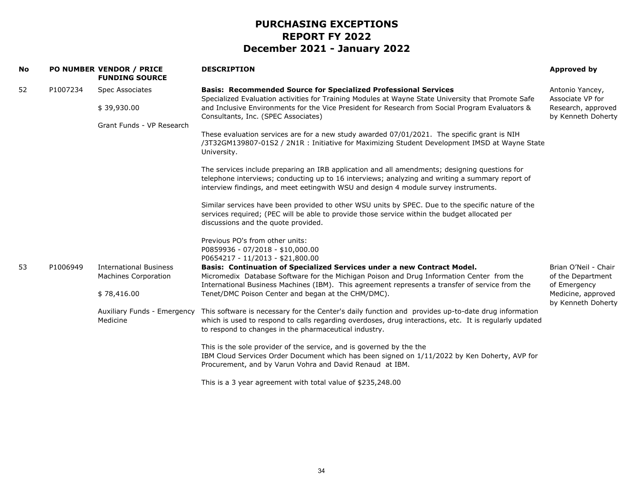| <b>No</b> |          | PO NUMBER VENDOR / PRICE<br><b>FUNDING SOURCE</b> | <b>DESCRIPTION</b>                                                                                                                                                                                                                                                                      | Approved by                              |
|-----------|----------|---------------------------------------------------|-----------------------------------------------------------------------------------------------------------------------------------------------------------------------------------------------------------------------------------------------------------------------------------------|------------------------------------------|
| 52        | P1007234 | <b>Spec Associates</b>                            | <b>Basis: Recommended Source for Specialized Professional Services</b><br>Specialized Evaluation activities for Training Modules at Wayne State University that Promote Safe                                                                                                            | Antonio Yancey,<br>Associate VP for      |
|           |          | \$39,930.00                                       | and Inclusive Environments for the Vice President for Research from Social Program Evaluators &<br>Consultants, Inc. (SPEC Associates)                                                                                                                                                  | Research, approved<br>by Kenneth Doherty |
|           |          | Grant Funds - VP Research                         |                                                                                                                                                                                                                                                                                         |                                          |
|           |          |                                                   | These evaluation services are for a new study awarded 07/01/2021. The specific grant is NIH<br>/3T32GM139807-01S2 / 2N1R : Initiative for Maximizing Student Development IMSD at Wayne State<br>University.                                                                             |                                          |
|           |          |                                                   | The services include preparing an IRB application and all amendments; designing questions for<br>telephone interviews; conducting up to 16 interviews; analyzing and writing a summary report of<br>interview findings, and meet eetingwith WSU and design 4 module survey instruments. |                                          |
|           |          |                                                   | Similar services have been provided to other WSU units by SPEC. Due to the specific nature of the<br>services required; (PEC will be able to provide those service within the budget allocated per<br>discussions and the quote provided.                                               |                                          |
|           |          |                                                   | Previous PO's from other units:                                                                                                                                                                                                                                                         |                                          |
|           |          |                                                   | P0859936 - 07/2018 - \$10,000.00<br>P0654217 - 11/2013 - \$21,800.00                                                                                                                                                                                                                    |                                          |
| 53        | P1006949 | <b>International Business</b>                     | Basis: Continuation of Specialized Services under a new Contract Model.                                                                                                                                                                                                                 | Brian O'Neil - Chair                     |
|           |          | <b>Machines Corporation</b>                       | Micromedix Database Software for the Michigan Poison and Drug Information Center from the<br>International Business Machines (IBM). This agreement represents a transfer of service from the                                                                                            | of the Department<br>of Emergency        |
|           |          | \$78,416.00                                       | Tenet/DMC Poison Center and began at the CHM/DMC).                                                                                                                                                                                                                                      | Medicine, approved<br>by Kenneth Doherty |
|           |          | Auxiliary Funds - Emergency<br>Medicine           | This software is necessary for the Center's daily function and provides up-to-date drug information<br>which is used to respond to calls regarding overdoses, drug interactions, etc. It is regularly updated<br>to respond to changes in the pharmaceutical industry.                  |                                          |
|           |          |                                                   | This is the sole provider of the service, and is governed by the the<br>IBM Cloud Services Order Document which has been signed on 1/11/2022 by Ken Doherty, AVP for<br>Procurement, and by Varun Vohra and David Renaud at IBM.                                                        |                                          |
|           |          |                                                   | This is a 3 year agreement with total value of \$235,248.00                                                                                                                                                                                                                             |                                          |